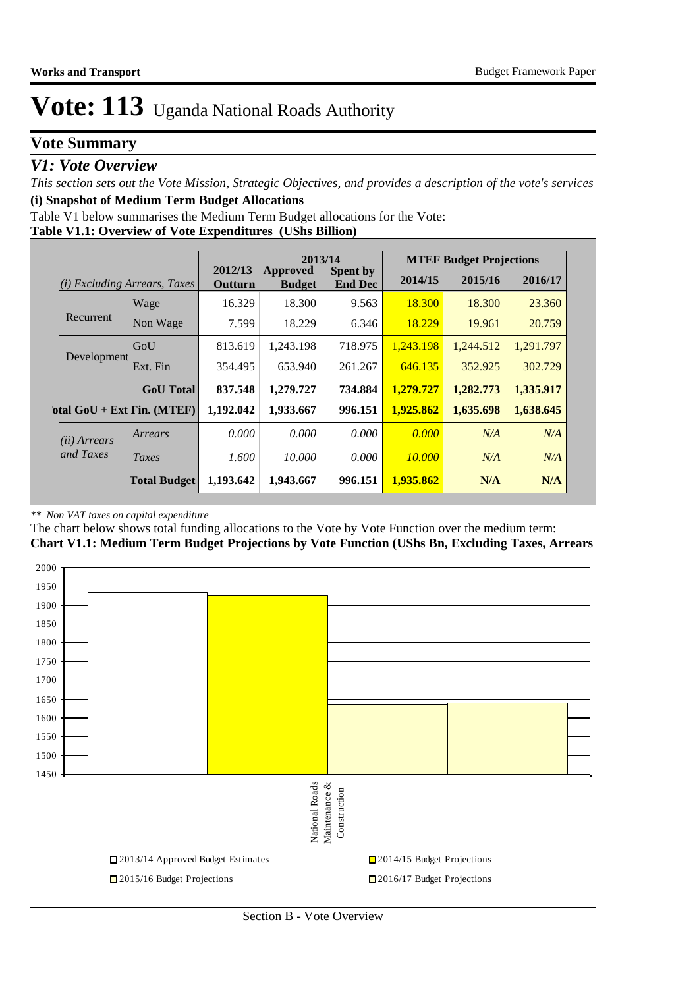### **Vote Summary**

### *V1: Vote Overview*

*This section sets out the Vote Mission, Strategic Objectives, and provides a description of the vote's services* **(i) Snapshot of Medium Term Budget Allocations** 

Table V1 below summarises the Medium Term Budget allocations for the Vote:

#### **Table V1.1: Overview of Vote Expenditures (UShs Billion)**

|                       |                              |                    | 2013/14                          |                                   | <b>MTEF Budget Projections</b> |           |           |  |
|-----------------------|------------------------------|--------------------|----------------------------------|-----------------------------------|--------------------------------|-----------|-----------|--|
| (i)                   | Excluding Arrears, Taxes     | 2012/13<br>Outturn | <b>Approved</b><br><b>Budget</b> | <b>Spent by</b><br><b>End Dec</b> | 2014/15                        | 2015/16   | 2016/17   |  |
|                       | Wage                         | 16.329             | 18.300                           | 9.563                             | 18.300                         | 18.300    | 23.360    |  |
| Recurrent             | Non Wage                     | 7.599              | 18.229                           | 6.346                             | 18.229                         | 19.961    | 20.759    |  |
|                       | GoU                          | 813.619            | 1.243.198                        | 718.975                           | 1.243.198                      | 1,244.512 | 1,291.797 |  |
| Development           | Ext. Fin                     | 354.495            | 653.940                          | 261.267                           | 646.135                        | 352.925   | 302.729   |  |
|                       | <b>GoU</b> Total             | 837.548            | 1,279.727                        | 734.884                           | 1,279.727                      | 1,282.773 | 1,335.917 |  |
|                       | otal $GoU + Ext Fin. (MTEF)$ | 1,192.042          | 1,933.667                        | 996.151                           | 1,925.862                      | 1,635.698 | 1,638.645 |  |
| ( <i>ii</i> ) Arrears | Arrears                      | 0.000              | 0.000                            | 0.000                             | 0.000                          | N/A       | N/A       |  |
| and Taxes             | Taxes                        | 1.600              | 10.000                           | 0.000                             | 10.000                         | N/A       | N/A       |  |
|                       | <b>Total Budget</b>          | 1,193.642          | 1,943.667                        | 996.151                           | 1,935.862                      | N/A       | N/A       |  |

#### *\*\* Non VAT taxes on capital expenditure*

The chart below shows total funding allocations to the Vote by Vote Function over the medium term:

**Chart V1.1: Medium Term Budget Projections by Vote Function (UShs Bn, Excluding Taxes, Arrears**

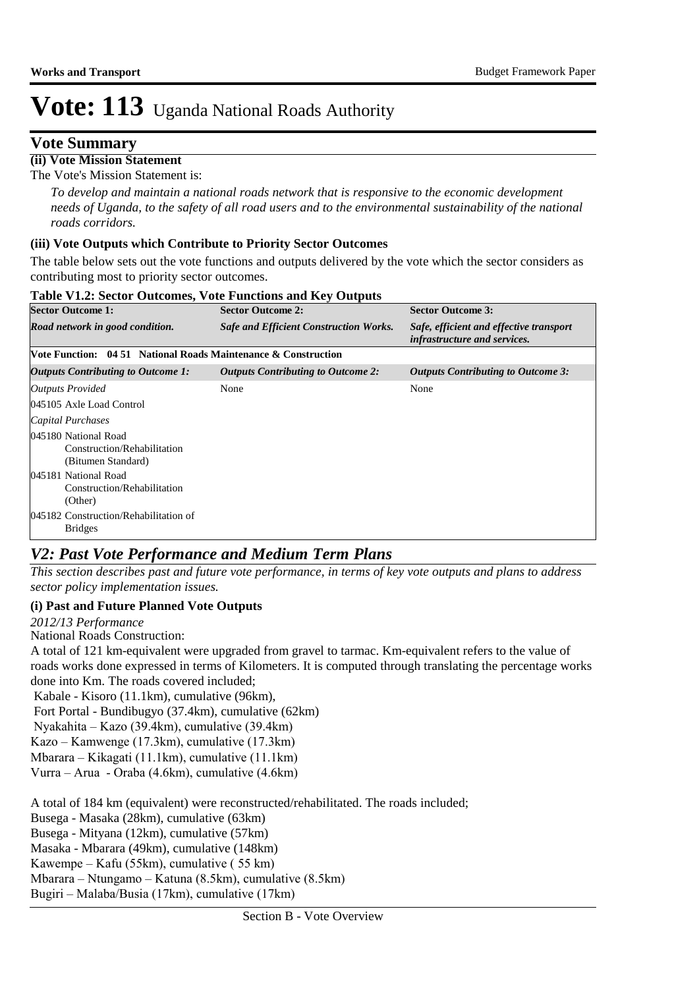### **Vote Summary**

### **(ii) Vote Mission Statement**

The Vote's Mission Statement is:

*To develop and maintain a national roads network that is responsive to the economic development needs of Uganda, to the safety of all road users and to the environmental sustainability of the national roads corridors.*

#### **(iii) Vote Outputs which Contribute to Priority Sector Outcomes**

The table below sets out the vote functions and outputs delivered by the vote which the sector considers as contributing most to priority sector outcomes.

| <b>Sector Outcome 1:</b>                                                                                                                       | <b>Sector Outcome 2:</b>                      | <b>Sector Outcome 3:</b>                                                |
|------------------------------------------------------------------------------------------------------------------------------------------------|-----------------------------------------------|-------------------------------------------------------------------------|
| Road network in good condition.                                                                                                                | <b>Safe and Efficient Construction Works.</b> | Safe, efficient and effective transport<br>infrastructure and services. |
| Vote Function: 04 51 National Roads Maintenance & Construction                                                                                 |                                               |                                                                         |
| <i><b>Outputs Contributing to Outcome 1:</b></i>                                                                                               | <b>Outputs Contributing to Outcome 2:</b>     | <b>Outputs Contributing to Outcome 3:</b>                               |
| Outputs Provided<br>045105 Axle Load Control<br>Capital Purchases<br>045180 National Road<br>Construction/Rehabilitation<br>(Bitumen Standard) | None                                          | None                                                                    |
| 045181 National Road<br>Construction/Rehabilitation<br>(Other)<br>045182 Construction/Rehabilitation of<br><b>Bridges</b>                      |                                               |                                                                         |

#### **Table V1.2: Sector Outcomes, Vote Functions and Key Outputs**

### *V2: Past Vote Performance and Medium Term Plans*

*This section describes past and future vote performance, in terms of key vote outputs and plans to address sector policy implementation issues.* 

#### **(i) Past and Future Planned Vote Outputs**

*2012/13 Performance*

National Roads Construction:

A total of 121 km-equivalent were upgraded from gravel to tarmac. Km-equivalent refers to the value of roads works done expressed in terms of Kilometers. It is computed through translating the percentage works done into Km. The roads covered included;

Kabale - Kisoro (11.1km), cumulative (96km),

Fort Portal - Bundibugyo (37.4km), cumulative (62km) 

Nyakahita – Kazo (39.4km), cumulative (39.4km)

Kazo – Kamwenge (17.3km), cumulative (17.3km)

Mbarara – Kikagati (11.1km), cumulative (11.1km)

Vurra – Arua - Oraba (4.6km), cumulative (4.6km)

A total of 184 km (equivalent) were reconstructed/rehabilitated. The roads included;

Busega - Masaka (28km), cumulative (63km)

Busega - Mityana (12km), cumulative (57km)

Masaka - Mbarara (49km), cumulative (148km)

Kawempe – Kafu (55km), cumulative ( 55 km)

Mbarara – Ntungamo – Katuna (8.5km), cumulative (8.5km)

Bugiri – Malaba/Busia (17km), cumulative (17km)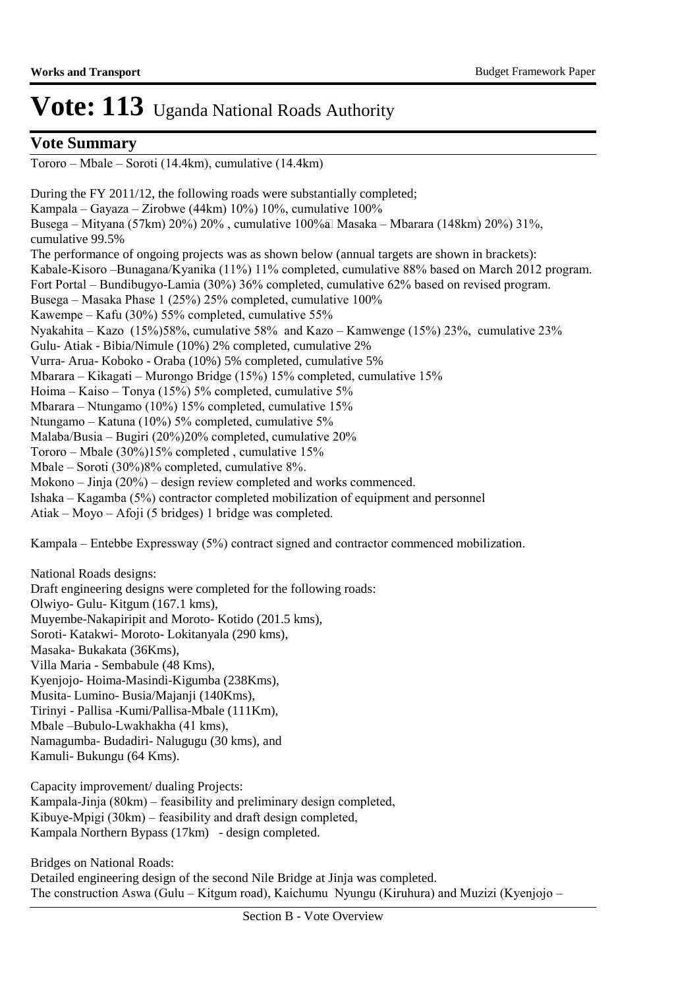### **Vote Summary**

Tororo – Mbale – Soroti (14.4km), cumulative (14.4km)

During the FY 2011/12, the following roads were substantially completed; Kampala – Gayaza – Zirobwe (44km) 10%) 10%, cumulative 100% Busega – Mityana (57km) 20%) 20%, cumulative 100%a Masaka – Mbarara (148km) 20%) 31%, cumulative 99.5% The performance of ongoing projects was as shown below (annual targets are shown in brackets): Kabale-Kisoro –Bunagana/Kyanika (11%) 11% completed, cumulative 88% based on March 2012 program. Fort Portal – Bundibugyo-Lamia (30%) 36% completed, cumulative 62% based on revised program. Busega – Masaka Phase 1 (25%) 25% completed, cumulative 100% Kawempe – Kafu (30%) 55% completed, cumulative 55% Nyakahita – Kazo (15%)58%, cumulative 58% and Kazo – Kamwenge (15%) 23%, cumulative 23% Gulu- Atiak - Bibia/Nimule (10%) 2% completed, cumulative 2% Vurra- Arua- Koboko - Oraba (10%) 5% completed, cumulative 5% Mbarara – Kikagati – Murongo Bridge (15%) 15% completed, cumulative 15% Hoima – Kaiso – Tonya (15%) 5% completed, cumulative 5% Mbarara – Ntungamo (10%) 15% completed, cumulative 15% Ntungamo – Katuna (10%) 5% completed, cumulative 5% Malaba/Busia – Bugiri (20%)20% completed, cumulative 20% Tororo – Mbale (30%)15% completed , cumulative 15% Mbale – Soroti (30%)8% completed, cumulative 8%. Mokono – Jinja (20%) – design review completed and works commenced. Ishaka – Kagamba (5%) contractor completed mobilization of equipment and personnel Atiak – Moyo – Afoji (5 bridges) 1 bridge was completed.

Kampala – Entebbe Expressway (5%) contract signed and contractor commenced mobilization.

National Roads designs: Draft engineering designs were completed for the following roads: Olwiyo- Gulu- Kitgum (167.1 kms), Muyembe-Nakapiripit and Moroto- Kotido (201.5 kms), Soroti- Katakwi- Moroto- Lokitanyala (290 kms), Masaka- Bukakata (36Kms), Villa Maria - Sembabule (48 Kms), Kyenjojo- Hoima-Masindi-Kigumba (238Kms), Musita- Lumino- Busia/Majanji (140Kms), Tirinyi - Pallisa -Kumi/Pallisa-Mbale (111Km), Mbale –Bubulo-Lwakhakha (41 kms), Namagumba- Budadiri- Nalugugu (30 kms), and Kamuli- Bukungu (64 Kms).

Capacity improvement/ dualing Projects: Kampala-Jinja (80km) – feasibility and preliminary design completed, Kibuye-Mpigi (30km) – feasibility and draft design completed, Kampala Northern Bypass (17km) - design completed.

Bridges on National Roads: Detailed engineering design of the second Nile Bridge at Jinja was completed. The construction Aswa (Gulu – Kitgum road), Kaichumu Nyungu (Kiruhura) and Muzizi (Kyenjojo –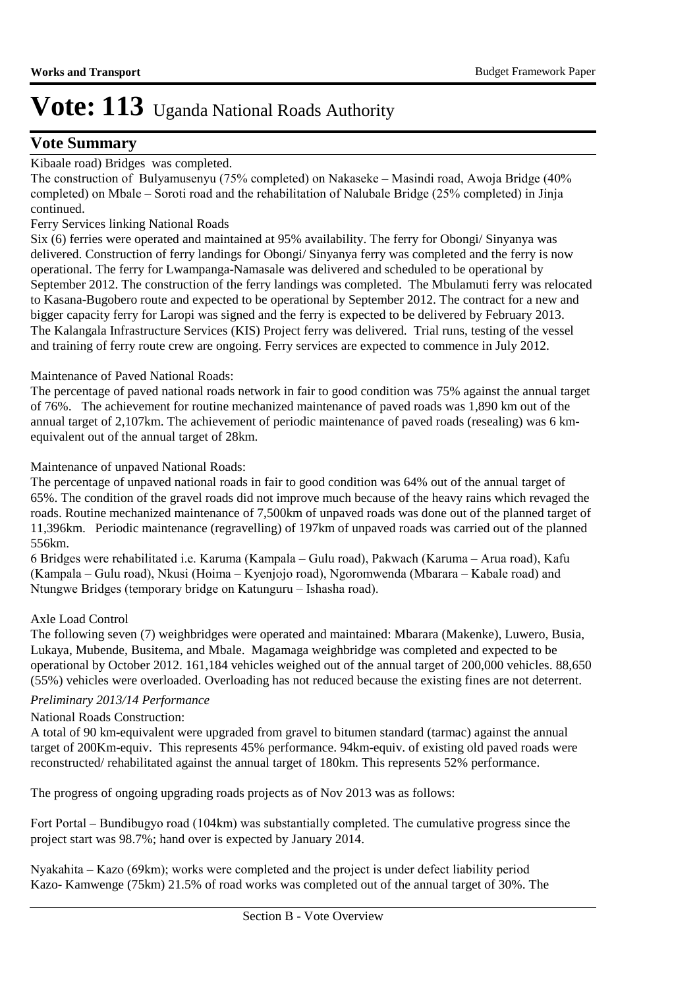### **Vote Summary**

#### Kibaale road) Bridges was completed.

The construction of Bulyamusenyu (75% completed) on Nakaseke – Masindi road, Awoja Bridge (40% completed) on Mbale – Soroti road and the rehabilitation of Nalubale Bridge (25% completed) in Jinja continued.

#### Ferry Services linking National Roads

Six (6) ferries were operated and maintained at 95% availability. The ferry for Obongi/ Sinyanya was delivered. Construction of ferry landings for Obongi/ Sinyanya ferry was completed and the ferry is now operational. The ferry for Lwampanga-Namasale was delivered and scheduled to be operational by September 2012. The construction of the ferry landings was completed. The Mbulamuti ferry was relocated to Kasana-Bugobero route and expected to be operational by September 2012. The contract for a new and bigger capacity ferry for Laropi was signed and the ferry is expected to be delivered by February 2013. The Kalangala Infrastructure Services (KIS) Project ferry was delivered. Trial runs, testing of the vessel and training of ferry route crew are ongoing. Ferry services are expected to commence in July 2012.

#### Maintenance of Paved National Roads:

The percentage of paved national roads network in fair to good condition was 75% against the annual target of 76%. The achievement for routine mechanized maintenance of paved roads was 1,890 km out of the annual target of 2,107km. The achievement of periodic maintenance of paved roads (resealing) was 6 kmequivalent out of the annual target of 28km.

#### Maintenance of unpaved National Roads:

The percentage of unpaved national roads in fair to good condition was 64% out of the annual target of 65%. The condition of the gravel roads did not improve much because of the heavy rains which revaged the roads. Routine mechanized maintenance of 7,500km of unpaved roads was done out of the planned target of 11,396km. Periodic maintenance (regravelling) of 197km of unpaved roads was carried out of the planned 556km.

6 Bridges were rehabilitated i.e. Karuma (Kampala – Gulu road), Pakwach (Karuma – Arua road), Kafu (Kampala – Gulu road), Nkusi (Hoima – Kyenjojo road), Ngoromwenda (Mbarara – Kabale road) and Ntungwe Bridges (temporary bridge on Katunguru – Ishasha road).

#### Axle Load Control

The following seven (7) weighbridges were operated and maintained: Mbarara (Makenke), Luwero, Busia, Lukaya, Mubende, Busitema, and Mbale. Magamaga weighbridge was completed and expected to be operational by October 2012. 161,184 vehicles weighed out of the annual target of 200,000 vehicles. 88,650 (55%) vehicles were overloaded. Overloading has not reduced because the existing fines are not deterrent.

#### *Preliminary 2013/14 Performance*

#### National Roads Construction:

A total of 90 km-equivalent were upgraded from gravel to bitumen standard (tarmac) against the annual target of 200Km-equiv. This represents 45% performance. 94km-equiv. of existing old paved roads were reconstructed/ rehabilitated against the annual target of 180km. This represents 52% performance.

The progress of ongoing upgrading roads projects as of Nov 2013 was as follows:

Fort Portal – Bundibugyo road (104km) was substantially completed. The cumulative progress since the project start was 98.7%; hand over is expected by January 2014.

Nyakahita – Kazo (69km); works were completed and the project is under defect liability period Kazo- Kamwenge (75km) 21.5% of road works was completed out of the annual target of 30%. The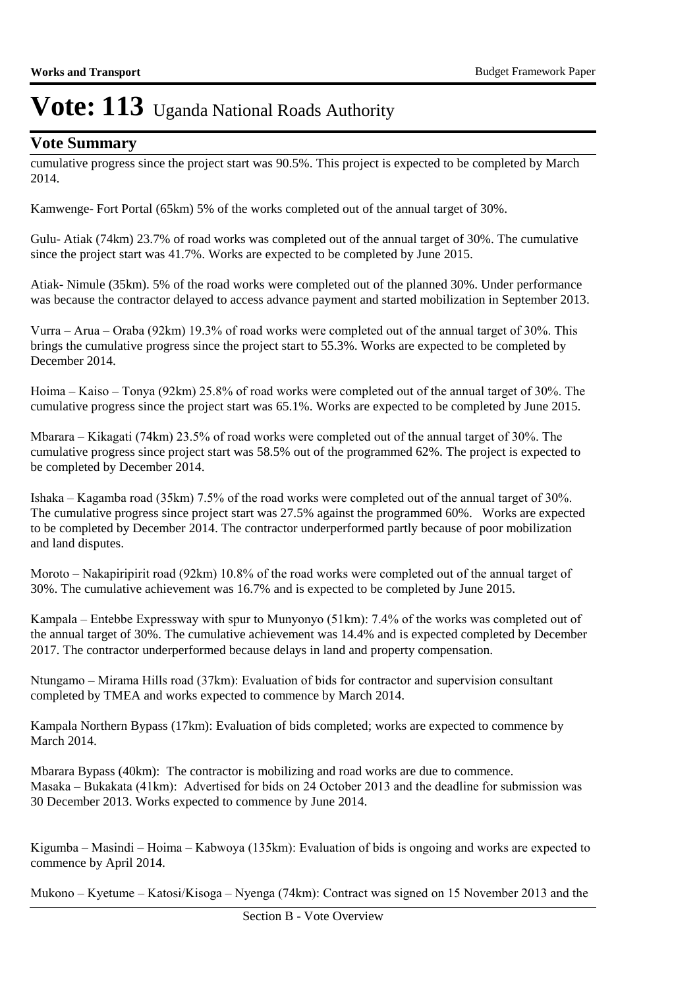### **Vote Summary**

cumulative progress since the project start was 90.5%. This project is expected to be completed by March 2014.

Kamwenge- Fort Portal (65km) 5% of the works completed out of the annual target of 30%.

Gulu- Atiak (74km) 23.7% of road works was completed out of the annual target of 30%. The cumulative since the project start was 41.7%. Works are expected to be completed by June 2015.

Atiak- Nimule (35km). 5% of the road works were completed out of the planned 30%. Under performance was because the contractor delayed to access advance payment and started mobilization in September 2013.

Vurra – Arua – Oraba (92km) 19.3% of road works were completed out of the annual target of 30%. This brings the cumulative progress since the project start to 55.3%. Works are expected to be completed by December 2014.

Hoima – Kaiso – Tonya (92km) 25.8% of road works were completed out of the annual target of 30%. The cumulative progress since the project start was 65.1%. Works are expected to be completed by June 2015.

Mbarara – Kikagati (74km) 23.5% of road works were completed out of the annual target of 30%. The cumulative progress since project start was 58.5% out of the programmed 62%. The project is expected to be completed by December 2014.

Ishaka – Kagamba road (35km) 7.5% of the road works were completed out of the annual target of 30%. The cumulative progress since project start was 27.5% against the programmed 60%. Works are expected to be completed by December 2014. The contractor underperformed partly because of poor mobilization and land disputes.

Moroto – Nakapiripirit road (92km) 10.8% of the road works were completed out of the annual target of 30%. The cumulative achievement was 16.7% and is expected to be completed by June 2015.

Kampala – Entebbe Expressway with spur to Munyonyo (51km): 7.4% of the works was completed out of the annual target of 30%. The cumulative achievement was 14.4% and is expected completed by December 2017. The contractor underperformed because delays in land and property compensation.

Ntungamo – Mirama Hills road (37km): Evaluation of bids for contractor and supervision consultant completed by TMEA and works expected to commence by March 2014.

Kampala Northern Bypass (17km): Evaluation of bids completed; works are expected to commence by **March 2014.** 

Mbarara Bypass (40km): The contractor is mobilizing and road works are due to commence. Masaka – Bukakata (41km): Advertised for bids on 24 October 2013 and the deadline for submission was 30 December 2013. Works expected to commence by June 2014.

Kigumba – Masindi – Hoima – Kabwoya (135km): Evaluation of bids is ongoing and works are expected to commence by April 2014.

Mukono – Kyetume – Katosi/Kisoga – Nyenga (74km): Contract was signed on 15 November 2013 and the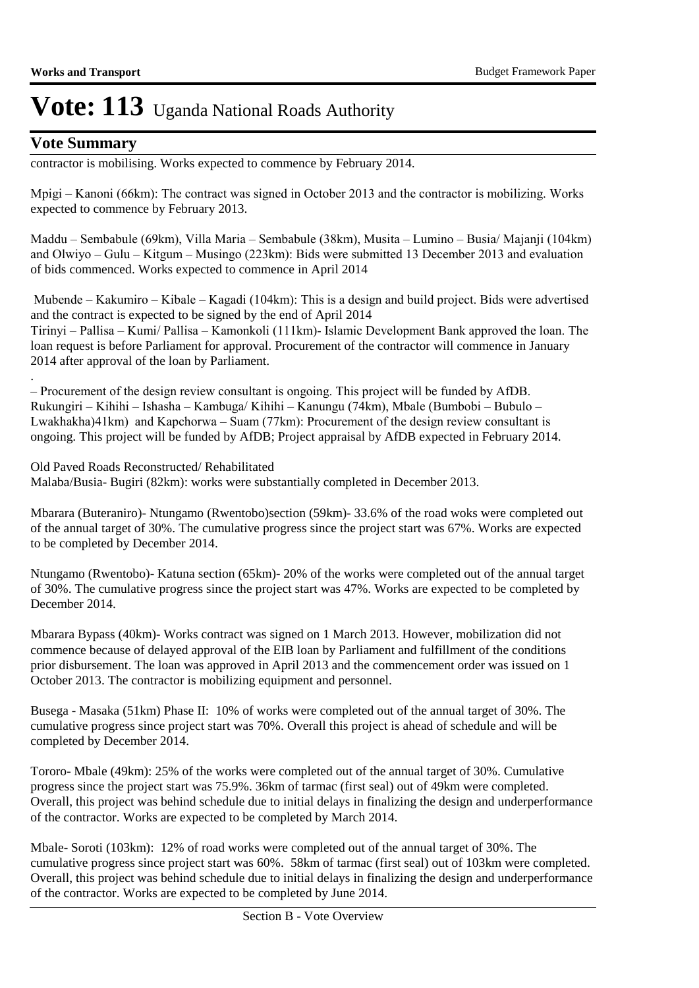### **Vote Summary**

.

contractor is mobilising. Works expected to commence by February 2014.

Mpigi – Kanoni (66km): The contract was signed in October 2013 and the contractor is mobilizing. Works expected to commence by February 2013.

Maddu – Sembabule (69km), Villa Maria – Sembabule (38km), Musita – Lumino – Busia/ Majanji (104km) and Olwiyo – Gulu – Kitgum – Musingo (223km): Bids were submitted 13 December 2013 and evaluation of bids commenced. Works expected to commence in April 2014

 Mubende – Kakumiro – Kibale – Kagadi (104km): This is a design and build project. Bids were advertised and the contract is expected to be signed by the end of April 2014 Tirinyi – Pallisa – Kumi/ Pallisa – Kamonkoli (111km)- Islamic Development Bank approved the loan. The loan request is before Parliament for approval. Procurement of the contractor will commence in January 2014 after approval of the loan by Parliament.

– Procurement of the design review consultant is ongoing. This project will be funded by AfDB. Rukungiri – Kihihi – Ishasha – Kambuga/ Kihihi – Kanungu (74km), Mbale (Bumbobi – Bubulo – Lwakhakha)41km) and Kapchorwa – Suam (77km): Procurement of the design review consultant is ongoing. This project will be funded by AfDB; Project appraisal by AfDB expected in February 2014.

Old Paved Roads Reconstructed/ Rehabilitated Malaba/Busia- Bugiri (82km): works were substantially completed in December 2013.

Mbarara (Buteraniro)- Ntungamo (Rwentobo)section (59km)- 33.6% of the road woks were completed out of the annual target of 30%. The cumulative progress since the project start was 67%. Works are expected to be completed by December 2014.

Ntungamo (Rwentobo)- Katuna section (65km)- 20% of the works were completed out of the annual target of 30%. The cumulative progress since the project start was 47%. Works are expected to be completed by December 2014.

Mbarara Bypass (40km)- Works contract was signed on 1 March 2013. However, mobilization did not commence because of delayed approval of the EIB loan by Parliament and fulfillment of the conditions prior disbursement. The loan was approved in April 2013 and the commencement order was issued on 1 October 2013. The contractor is mobilizing equipment and personnel.

Busega - Masaka (51km) Phase II: 10% of works were completed out of the annual target of 30%. The cumulative progress since project start was 70%. Overall this project is ahead of schedule and will be completed by December 2014.

Tororo- Mbale (49km): 25% of the works were completed out of the annual target of 30%. Cumulative progress since the project start was 75.9%. 36km of tarmac (first seal) out of 49km were completed. Overall, this project was behind schedule due to initial delays in finalizing the design and underperformance of the contractor. Works are expected to be completed by March 2014.

Mbale- Soroti (103km): 12% of road works were completed out of the annual target of 30%. The cumulative progress since project start was 60%. 58km of tarmac (first seal) out of 103km were completed. Overall, this project was behind schedule due to initial delays in finalizing the design and underperformance of the contractor. Works are expected to be completed by June 2014.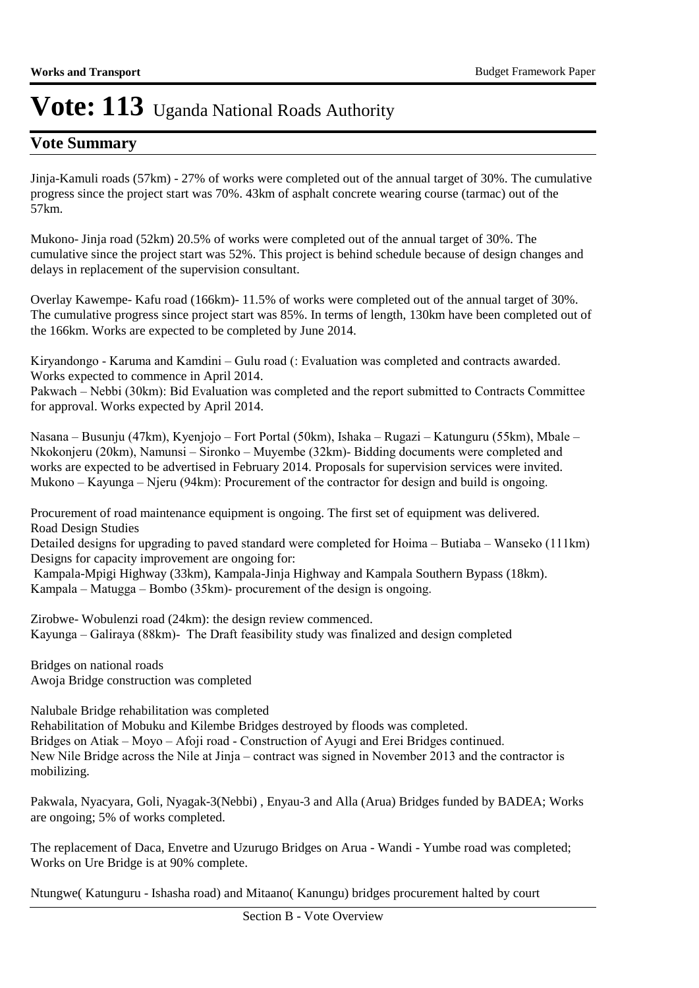### **Vote Summary**

Jinja-Kamuli roads (57km) - 27% of works were completed out of the annual target of 30%. The cumulative progress since the project start was 70%. 43km of asphalt concrete wearing course (tarmac) out of the 57km.

Mukono- Jinja road (52km) 20.5% of works were completed out of the annual target of 30%. The cumulative since the project start was 52%. This project is behind schedule because of design changes and delays in replacement of the supervision consultant.

Overlay Kawempe- Kafu road (166km)- 11.5% of works were completed out of the annual target of 30%. The cumulative progress since project start was 85%. In terms of length, 130km have been completed out of the 166km. Works are expected to be completed by June 2014.

Kiryandongo - Karuma and Kamdini – Gulu road (: Evaluation was completed and contracts awarded. Works expected to commence in April 2014.

Pakwach – Nebbi (30km): Bid Evaluation was completed and the report submitted to Contracts Committee for approval. Works expected by April 2014.

Nasana – Busunju (47km), Kyenjojo – Fort Portal (50km), Ishaka – Rugazi – Katunguru (55km), Mbale – Nkokonjeru (20km), Namunsi – Sironko – Muyembe (32km)- Bidding documents were completed and works are expected to be advertised in February 2014. Proposals for supervision services were invited. Mukono – Kayunga – Njeru (94km): Procurement of the contractor for design and build is ongoing.

Procurement of road maintenance equipment is ongoing. The first set of equipment was delivered. Road Design Studies

Detailed designs for upgrading to paved standard were completed for Hoima – Butiaba – Wanseko (111km) Designs for capacity improvement are ongoing for:

 Kampala-Mpigi Highway (33km), Kampala-Jinja Highway and Kampala Southern Bypass (18km). Kampala – Matugga – Bombo (35km)- procurement of the design is ongoing.

Zirobwe- Wobulenzi road (24km): the design review commenced. Kayunga – Galiraya (88km)- The Draft feasibility study was finalized and design completed

Bridges on national roads Awoja Bridge construction was completed

Nalubale Bridge rehabilitation was completed

Rehabilitation of Mobuku and Kilembe Bridges destroyed by floods was completed. Bridges on Atiak – Moyo – Afoji road - Construction of Ayugi and Erei Bridges continued. New Nile Bridge across the Nile at Jinja – contract was signed in November 2013 and the contractor is mobilizing.

Pakwala, Nyacyara, Goli, Nyagak-3(Nebbi) , Enyau-3 and Alla (Arua) Bridges funded by BADEA; Works are ongoing; 5% of works completed.

The replacement of Daca, Envetre and Uzurugo Bridges on Arua - Wandi - Yumbe road was completed; Works on Ure Bridge is at 90% complete.

Ntungwe( Katunguru - Ishasha road) and Mitaano( Kanungu) bridges procurement halted by court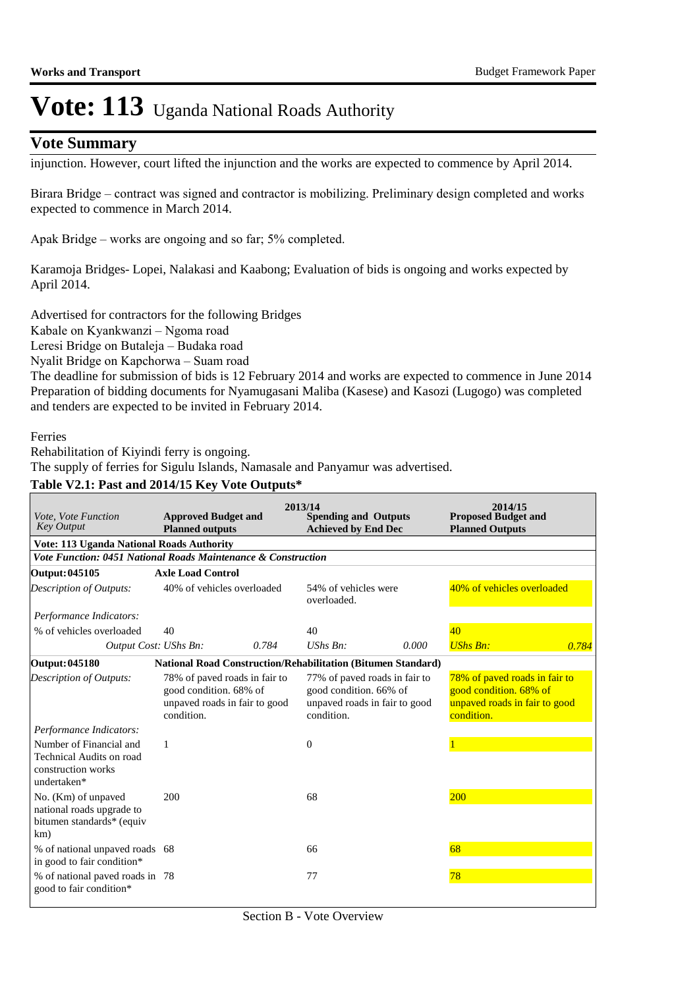### **Vote Summary**

injunction. However, court lifted the injunction and the works are expected to commence by April 2014.

Birara Bridge – contract was signed and contractor is mobilizing. Preliminary design completed and works expected to commence in March 2014.

Apak Bridge – works are ongoing and so far; 5% completed.

Karamoja Bridges- Lopei, Nalakasi and Kaabong; Evaluation of bids is ongoing and works expected by April 2014.

Advertised for contractors for the following Bridges

Kabale on Kyankwanzi – Ngoma road

Leresi Bridge on Butaleja – Budaka road

Nyalit Bridge on Kapchorwa – Suam road

The deadline for submission of bids is 12 February 2014 and works are expected to commence in June 2014 Preparation of bidding documents for Nyamugasani Maliba (Kasese) and Kasozi (Lugogo) was completed and tenders are expected to be invited in February 2014.

#### Ferries

Rehabilitation of Kiyindi ferry is ongoing.

The supply of ferries for Sigulu Islands, Namasale and Panyamur was advertised.

#### **Table V2.1: Past and 2014/15 Key Vote Outputs\***

| Vote, Vote Function<br><b>Key Output</b>                                                 | <b>Approved Budget and</b><br><b>Planned outputs</b>                                                   | 2013/14<br><b>Spending and Outputs</b><br><b>Achieved by End Dec</b>                                   | 2014/15<br><b>Proposed Budget and</b><br><b>Planned Outputs</b>                                        |
|------------------------------------------------------------------------------------------|--------------------------------------------------------------------------------------------------------|--------------------------------------------------------------------------------------------------------|--------------------------------------------------------------------------------------------------------|
| <b>Vote: 113 Uganda National Roads Authority</b>                                         |                                                                                                        |                                                                                                        |                                                                                                        |
|                                                                                          | Vote Function: 0451 National Roads Maintenance & Construction                                          |                                                                                                        |                                                                                                        |
| Output: 045105                                                                           | <b>Axle Load Control</b>                                                                               |                                                                                                        |                                                                                                        |
| <b>Description of Outputs:</b>                                                           | 40% of vehicles overloaded                                                                             | 54% of vehicles were<br>overloaded.                                                                    | 40% of vehicles overloaded                                                                             |
| Performance Indicators:                                                                  |                                                                                                        |                                                                                                        |                                                                                                        |
| % of vehicles overloaded                                                                 | 40                                                                                                     | 40                                                                                                     | 40 <sup>°</sup>                                                                                        |
| Output Cost: UShs Bn:                                                                    | 0.784                                                                                                  | $UShs Bn$ :<br>0.000                                                                                   | <b>UShs Bn:</b><br>0.784                                                                               |
| Output: 045180                                                                           |                                                                                                        | <b>National Road Construction/Rehabilitation (Bitumen Standard)</b>                                    |                                                                                                        |
| <b>Description of Outputs:</b>                                                           | 78% of paved roads in fair to<br>good condition. 68% of<br>unpaved roads in fair to good<br>condition. | 77% of paved roads in fair to<br>good condition. 66% of<br>unpaved roads in fair to good<br>condition. | 78% of paved roads in fair to<br>good condition. 68% of<br>unpaved roads in fair to good<br>condition. |
| Performance Indicators:                                                                  |                                                                                                        |                                                                                                        |                                                                                                        |
| Number of Financial and<br>Technical Audits on road<br>construction works<br>undertaken* | 1                                                                                                      | $\boldsymbol{0}$                                                                                       |                                                                                                        |
| No. (Km) of unpaved<br>national roads upgrade to<br>bitumen standards* (equiv<br>km)     | 200                                                                                                    | 68                                                                                                     | 200                                                                                                    |
| % of national unpaved roads 68<br>in good to fair condition*                             |                                                                                                        | 66                                                                                                     | 68                                                                                                     |
| % of national paved roads in 78<br>good to fair condition*                               |                                                                                                        | 77                                                                                                     | 78                                                                                                     |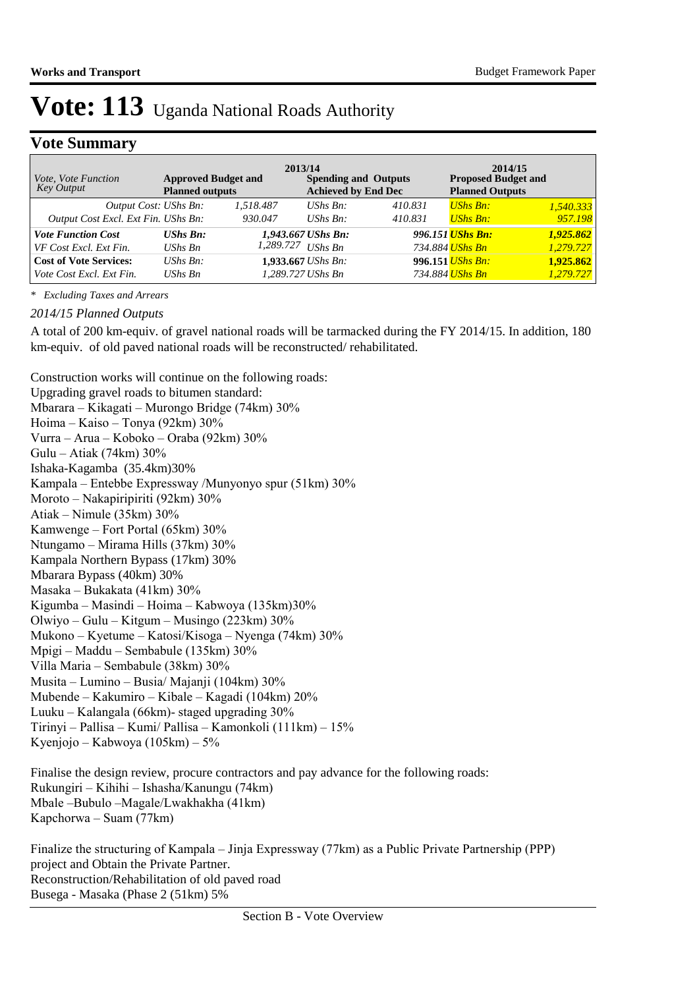### **Vote Summary**

| Vote, Vote Function<br>Key Output   | <b>Approved Budget and</b><br><b>Planned outputs</b> | 2013/14            | <b>Spending and Outputs</b><br><b>Achieved by End Dec</b> |         | <b>Proposed Budget and</b><br><b>Planned Outputs</b> | 2014/15   |
|-------------------------------------|------------------------------------------------------|--------------------|-----------------------------------------------------------|---------|------------------------------------------------------|-----------|
| Output Cost: UShs Bn:               |                                                      | 1,518.487          | UShs $B_n$ :                                              | 410.831 | <b>UShs Bn:</b>                                      | 1,540.333 |
| Output Cost Excl. Ext Fin. UShs Bn: |                                                      | 930.047            | UShs $Bn$ :                                               | 410.831 | <b>UShs Bn:</b>                                      | 957.198   |
| <b>Vote Function Cost</b>           | $UShs$ $Bn$ :                                        |                    | 1,943.667 UShs Bn:                                        |         | 996.151 UShs Bn:                                     | 1,925.862 |
| VF Cost Excl. Ext Fin.              | UShs Bn                                              | 1,289.727          | UShs Bn                                                   |         | 734.884 <mark>UShs Bn</mark>                         | 1,279.727 |
| <b>Cost of Vote Services:</b>       | UShs $Bn$ :                                          | 1,933.667 UShs Bn: |                                                           |         | 996.151 <i>UShs Bn:</i>                              | 1,925.862 |
| Vote Cost Excl. Ext Fin.            | UShs Bn                                              | 1,289.727 UShs Bn  |                                                           |         | 734.884 <mark>UShs Bn</mark>                         | 1,279.727 |

*\* Excluding Taxes and Arrears*

#### *2014/15 Planned Outputs*

A total of 200 km-equiv. of gravel national roads will be tarmacked during the FY 2014/15. In addition, 180 km-equiv. of old paved national roads will be reconstructed/ rehabilitated.

Construction works will continue on the following roads: Upgrading gravel roads to bitumen standard: Mbarara – Kikagati – Murongo Bridge (74km) 30% Hoima – Kaiso – Tonya (92km) 30% Vurra – Arua – Koboko – Oraba (92km) 30% Gulu – Atiak (74km) 30% Ishaka-Kagamba (35.4km)30% Kampala – Entebbe Expressway /Munyonyo spur (51km) 30% Moroto – Nakapiripiriti (92km) 30% Atiak – Nimule (35km) 30% Kamwenge – Fort Portal (65km) 30% Ntungamo – Mirama Hills (37km) 30% Kampala Northern Bypass (17km) 30% Mbarara Bypass (40km) 30% Masaka – Bukakata (41km) 30% Kigumba – Masindi – Hoima – Kabwoya (135km)30% Olwiyo – Gulu – Kitgum – Musingo (223km) 30% Mukono – Kyetume – Katosi/Kisoga – Nyenga (74km) 30% Mpigi – Maddu – Sembabule (135km) 30% Villa Maria – Sembabule (38km) 30% Musita – Lumino – Busia/ Majanji (104km) 30% Mubende – Kakumiro – Kibale – Kagadi (104km) 20% Luuku – Kalangala (66km)- staged upgrading 30% Tirinyi – Pallisa – Kumi/ Pallisa – Kamonkoli (111km) – 15% Kyenjojo – Kabwoya (105km) – 5% Finalise the design review, procure contractors and pay advance for the following roads:

Rukungiri – Kihihi – Ishasha/Kanungu (74km) Mbale –Bubulo –Magale/Lwakhakha (41km) Kapchorwa – Suam (77km)

Finalize the structuring of Kampala – Jinja Expressway (77km) as a Public Private Partnership (PPP) project and Obtain the Private Partner. Reconstruction/Rehabilitation of old paved road Busega - Masaka (Phase 2 (51km) 5%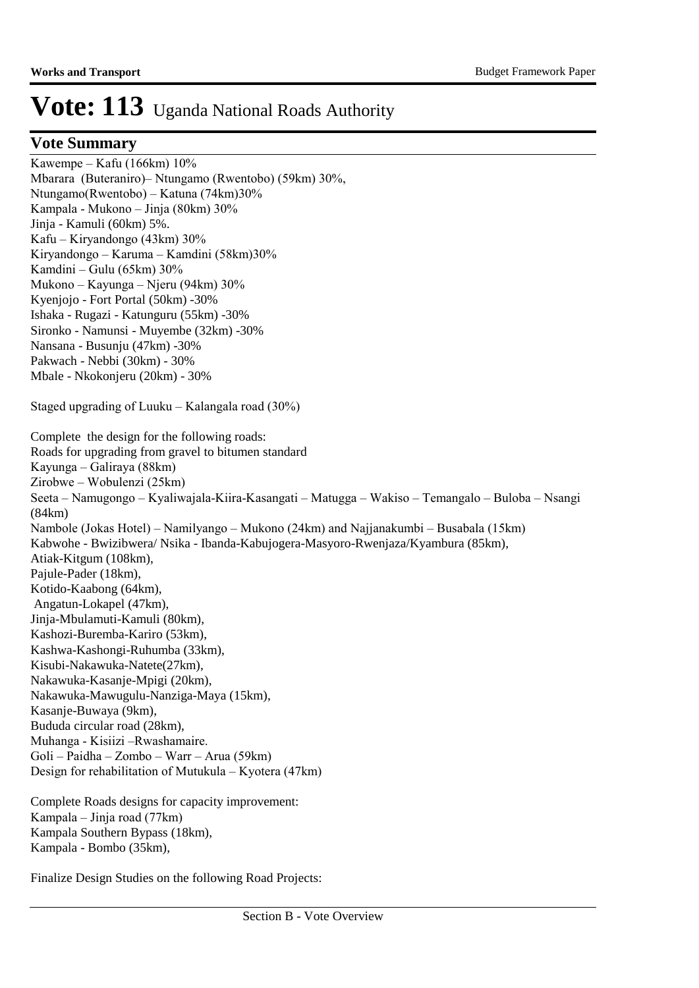### **Vote Summary**

Kawempe – Kafu (166km) 10% Mbarara (Buteraniro)– Ntungamo (Rwentobo) (59km) 30%, Ntungamo(Rwentobo) – Katuna (74km)30% Kampala - Mukono – Jinja (80km) 30% Jinja - Kamuli (60km) 5%. Kafu – Kiryandongo (43km) 30% Kiryandongo – Karuma – Kamdini (58km)30% Kamdini – Gulu (65km) 30% Mukono – Kayunga – Njeru (94km) 30% Kyenjojo - Fort Portal (50km) -30% Ishaka - Rugazi - Katunguru (55km) -30% Sironko - Namunsi - Muyembe (32km) -30% Nansana - Busunju (47km) -30% Pakwach - Nebbi (30km) - 30% Mbale - Nkokonjeru (20km) - 30% Staged upgrading of Luuku – Kalangala road (30%) Complete the design for the following roads: Roads for upgrading from gravel to bitumen standard Kayunga – Galiraya (88km) Zirobwe – Wobulenzi (25km) Seeta – Namugongo – Kyaliwajala-Kiira-Kasangati – Matugga – Wakiso – Temangalo – Buloba – Nsangi (84km) Nambole (Jokas Hotel) – Namilyango – Mukono (24km) and Najjanakumbi – Busabala (15km) Kabwohe - Bwizibwera/ Nsika - Ibanda-Kabujogera-Masyoro-Rwenjaza/Kyambura (85km), Atiak-Kitgum (108km), Pajule-Pader (18km), Kotido-Kaabong (64km), Angatun-Lokapel (47km), Jinja-Mbulamuti-Kamuli (80km), Kashozi-Buremba-Kariro (53km), Kashwa-Kashongi-Ruhumba (33km), Kisubi-Nakawuka-Natete(27km), Nakawuka-Kasanje-Mpigi (20km), Nakawuka-Mawugulu-Nanziga-Maya (15km), Kasanje-Buwaya (9km), Bududa circular road (28km), Muhanga - Kisiizi –Rwashamaire. Goli – Paidha – Zombo – Warr – Arua (59km) Design for rehabilitation of Mutukula – Kyotera (47km) Complete Roads designs for capacity improvement: Kampala – Jinja road (77km) Kampala Southern Bypass (18km),

Finalize Design Studies on the following Road Projects:

Kampala - Bombo (35km),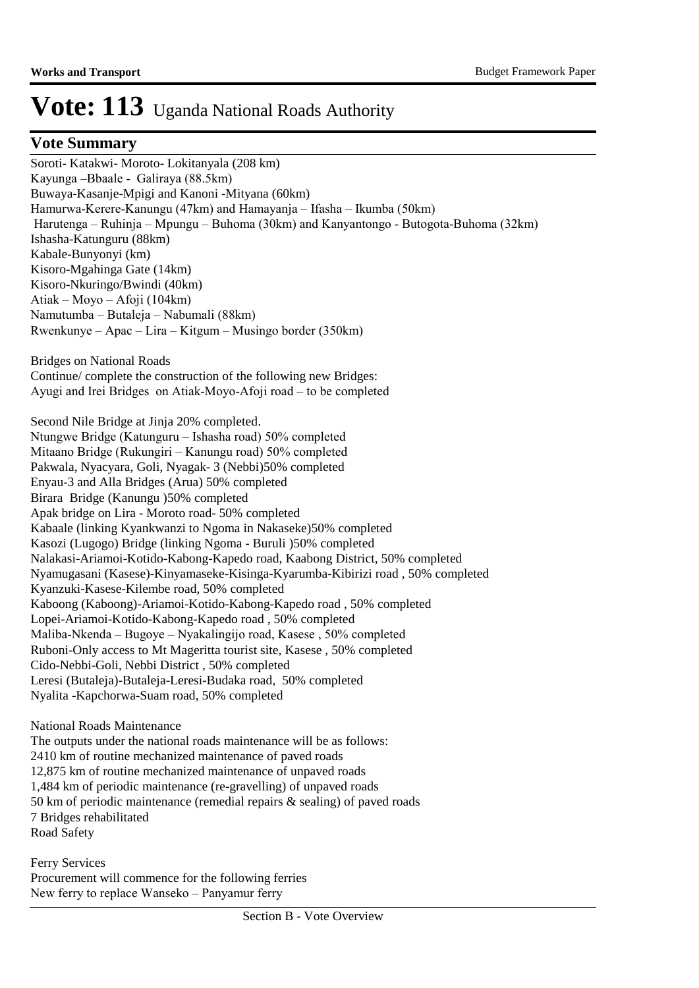### **Vote Summary**

Soroti- Katakwi- Moroto- Lokitanyala (208 km) Kayunga –Bbaale - Galiraya (88.5km) Buwaya-Kasanje-Mpigi and Kanoni -Mityana (60km) Hamurwa-Kerere-Kanungu (47km) and Hamayanja – Ifasha – Ikumba (50km) Harutenga – Ruhinja – Mpungu – Buhoma (30km) and Kanyantongo - Butogota-Buhoma (32km) Ishasha-Katunguru (88km) Kabale-Bunyonyi (km) Kisoro-Mgahinga Gate (14km) Kisoro-Nkuringo/Bwindi (40km) Atiak – Moyo – Afoji (104km) Namutumba – Butaleja – Nabumali (88km) Rwenkunye – Apac – Lira – Kitgum – Musingo border (350km) Bridges on National Roads Continue/ complete the construction of the following new Bridges: Ayugi and Irei Bridges on Atiak-Moyo-Afoji road – to be completed Second Nile Bridge at Jinja 20% completed.

Ntungwe Bridge (Katunguru – Ishasha road) 50% completed Mitaano Bridge (Rukungiri – Kanungu road) 50% completed Pakwala, Nyacyara, Goli, Nyagak- 3 (Nebbi)50% completed Enyau-3 and Alla Bridges (Arua) 50% completed Birara Bridge (Kanungu )50% completed Apak bridge on Lira - Moroto road- 50% completed Kabaale (linking Kyankwanzi to Ngoma in Nakaseke)50% completed Kasozi (Lugogo) Bridge (linking Ngoma - Buruli )50% completed Nalakasi-Ariamoi-Kotido-Kabong-Kapedo road, Kaabong District, 50% completed Nyamugasani (Kasese)-Kinyamaseke-Kisinga-Kyarumba-Kibirizi road , 50% completed Kyanzuki-Kasese-Kilembe road, 50% completed Kaboong (Kaboong)-Ariamoi-Kotido-Kabong-Kapedo road , 50% completed Lopei-Ariamoi-Kotido-Kabong-Kapedo road , 50% completed Maliba-Nkenda – Bugoye – Nyakalingijo road, Kasese , 50% completed Ruboni-Only access to Mt Mageritta tourist site, Kasese , 50% completed Cido-Nebbi-Goli, Nebbi District , 50% completed Leresi (Butaleja)-Butaleja-Leresi-Budaka road, 50% completed Nyalita -Kapchorwa-Suam road, 50% completed

National Roads Maintenance The outputs under the national roads maintenance will be as follows: 2410 km of routine mechanized maintenance of paved roads 12,875 km of routine mechanized maintenance of unpaved roads 1,484 km of periodic maintenance (re-gravelling) of unpaved roads 50 km of periodic maintenance (remedial repairs & sealing) of paved roads 7 Bridges rehabilitated Road Safety

Ferry Services Procurement will commence for the following ferries New ferry to replace Wanseko – Panyamur ferry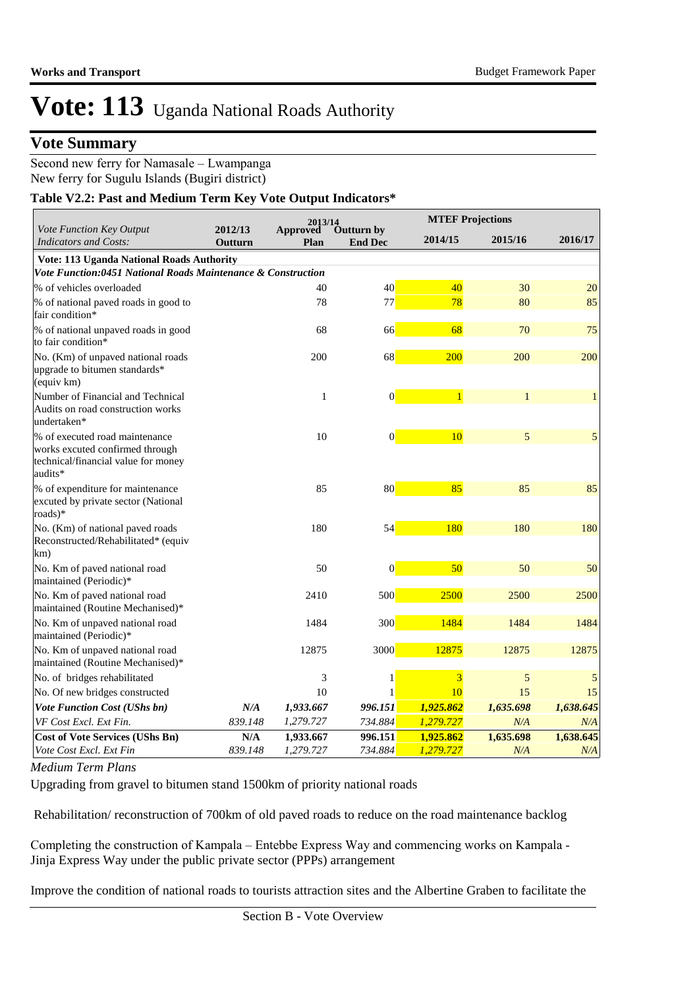### **Vote Summary**

Second new ferry for Namasale – Lwampanga New ferry for Sugulu Islands (Bugiri district)

#### **Table V2.2: Past and Medium Term Key Vote Output Indicators\***

|                                                                                                                     |                         | 2013/14                 |                              |              | <b>MTEF Projections</b> |           |
|---------------------------------------------------------------------------------------------------------------------|-------------------------|-------------------------|------------------------------|--------------|-------------------------|-----------|
| Vote Function Key Output<br><b>Indicators and Costs:</b>                                                            | 2012/13<br>Outturn      | <b>Approved</b><br>Plan | Outturn by<br><b>End Dec</b> | 2014/15      | 2015/16                 | 2016/17   |
| Vote: 113 Uganda National Roads Authority                                                                           |                         |                         |                              |              |                         |           |
| Vote Function:0451 National Roads Maintenance & Construction                                                        |                         |                         |                              |              |                         |           |
| % of vehicles overloaded                                                                                            |                         | 40                      | 40                           | 40           | 30                      | 20        |
| % of national paved roads in good to<br>fair condition*                                                             |                         | 78                      | 77                           | 78           | 80                      | 85        |
| % of national unpaved roads in good<br>to fair condition*                                                           |                         | 68                      | 66                           | 68           | 70                      | 75        |
| No. (Km) of unpaved national roads<br>upgrade to bitumen standards*<br>(equiv km)                                   |                         | 200                     | 68                           | 200          | 200                     | 200       |
| Number of Financial and Technical<br>Audits on road construction works<br>undertaken*                               |                         | $\mathbf{1}$            | $\vert 0 \vert$              | $\mathbf{1}$ | 1                       | 1         |
| % of executed road maintenance<br>works excuted confirmed through<br>technical/financial value for money<br>audits* |                         | 10                      | $\vert 0 \vert$              | 10           | 5                       | 5         |
| % of expenditure for maintenance<br>excuted by private sector (National<br>roads)*                                  |                         | 85                      | 80                           | 85           | 85                      | 85        |
| No. (Km) of national paved roads<br>Reconstructed/Rehabilitated* (equiv<br>km)                                      |                         | 180                     | 54                           | 180          | 180                     | 180       |
| No. Km of paved national road<br>maintained (Periodic)*                                                             |                         | 50                      | $\vert 0 \vert$              | 50           | 50                      | 50        |
| No. Km of paved national road<br>maintained (Routine Mechanised)*                                                   |                         | 2410                    | 500                          | 2500         | 2500                    | 2500      |
| No. Km of unpaved national road<br>maintained (Periodic)*                                                           |                         | 1484                    | 300                          | 1484         | 1484                    | 1484      |
| No. Km of unpaved national road<br>maintained (Routine Mechanised)*                                                 |                         | 12875                   | 3000                         | 12875        | 12875                   | 12875     |
| No. of bridges rehabilitated                                                                                        |                         | 3                       | $\mathbf{1}$                 | 3            | 5                       | 5         |
| No. Of new bridges constructed                                                                                      |                         | 10                      | 1                            | 10           | 15                      | 15        |
| <b>Vote Function Cost (UShs bn)</b>                                                                                 | N/A                     | 1,933.667               | 996.151                      | 1,925.862    | 1,635.698               | 1,638.645 |
| VF Cost Excl. Ext Fin.                                                                                              | 839.148                 | 1,279.727               | 734.884                      | 1,279.727    | N/A                     | N/A       |
| <b>Cost of Vote Services (UShs Bn)</b>                                                                              | $\mathbf{N}/\mathbf{A}$ | 1,933.667               | 996.151                      | 1,925.862    | 1,635.698               | 1,638.645 |
| Vote Cost Excl. Ext Fin                                                                                             | 839.148                 | 1,279.727               | 734.884                      | 1,279.727    | N/A                     | N/A       |

#### *Medium Term Plans*

Upgrading from gravel to bitumen stand 1500km of priority national roads

Rehabilitation/ reconstruction of 700km of old paved roads to reduce on the road maintenance backlog

Completing the construction of Kampala – Entebbe Express Way and commencing works on Kampala - Jinja Express Way under the public private sector (PPPs) arrangement

Improve the condition of national roads to tourists attraction sites and the Albertine Graben to facilitate the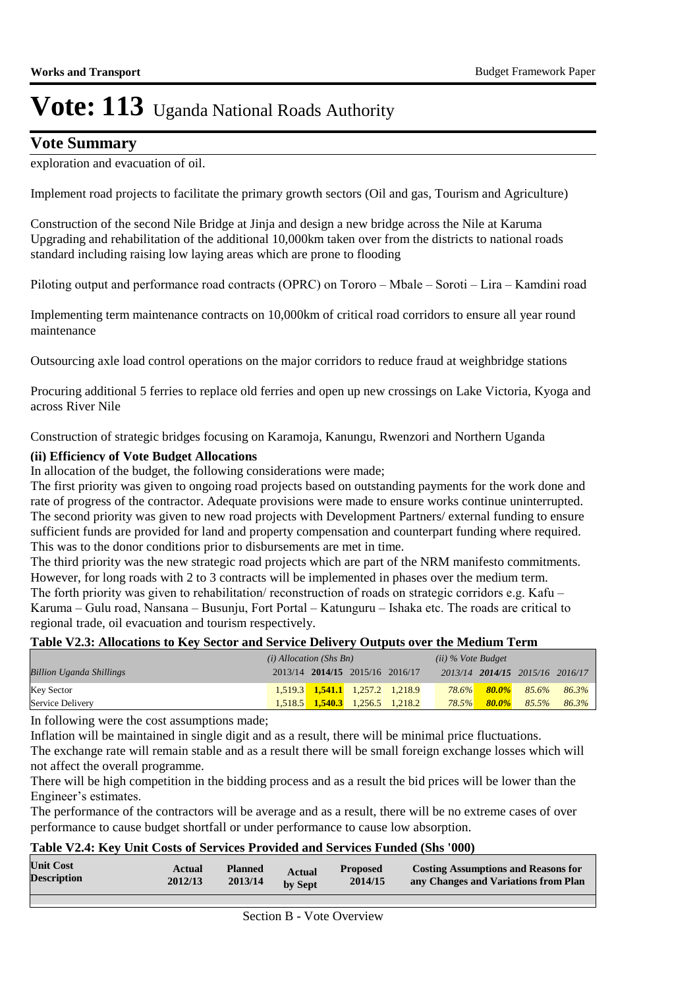### **Vote Summary**

exploration and evacuation of oil.

Implement road projects to facilitate the primary growth sectors (Oil and gas, Tourism and Agriculture)

Construction of the second Nile Bridge at Jinja and design a new bridge across the Nile at Karuma Upgrading and rehabilitation of the additional 10,000km taken over from the districts to national roads standard including raising low laying areas which are prone to flooding

Piloting output and performance road contracts (OPRC) on Tororo – Mbale – Soroti – Lira – Kamdini road

Implementing term maintenance contracts on 10,000km of critical road corridors to ensure all year round maintenance

Outsourcing axle load control operations on the major corridors to reduce fraud at weighbridge stations

Procuring additional 5 ferries to replace old ferries and open up new crossings on Lake Victoria, Kyoga and across River Nile

Construction of strategic bridges focusing on Karamoja, Kanungu, Rwenzori and Northern Uganda

#### **(ii) Efficiency of Vote Budget Allocations**

In allocation of the budget, the following considerations were made;

The first priority was given to ongoing road projects based on outstanding payments for the work done and rate of progress of the contractor. Adequate provisions were made to ensure works continue uninterrupted. The second priority was given to new road projects with Development Partners/ external funding to ensure sufficient funds are provided for land and property compensation and counterpart funding where required. This was to the donor conditions prior to disbursements are met in time.

The third priority was the new strategic road projects which are part of the NRM manifesto commitments. However, for long roads with 2 to 3 contracts will be implemented in phases over the medium term.

The forth priority was given to rehabilitation/ reconstruction of roads on strategic corridors e.g. Kafu – Karuma – Gulu road, Nansana – Busunju, Fort Portal – Katunguru – Ishaka etc. The roads are critical to regional trade, oil evacuation and tourism respectively.

#### **Table V2.3: Allocations to Key Sector and Service Delivery Outputs over the Medium Term**

|                                 | $(i)$ Allocation (Shs Bn) |  |                                 | $(ii)$ % Vote Budget                    |       |           |                                 |                   |
|---------------------------------|---------------------------|--|---------------------------------|-----------------------------------------|-------|-----------|---------------------------------|-------------------|
| <b>Billion Uganda Shillings</b> |                           |  | 2013/14 2014/15 2015/16 2016/17 |                                         |       |           | 2013/14 2014/15 2015/16 2016/17 |                   |
| <b>Key Sector</b>               |                           |  |                                 | $1,519.3$ $1,541.1$ $1,257.2$ $1,218.9$ | 78.6% | $-80.0\%$ |                                 | $85.6\%$ $86.3\%$ |
| Service Delivery                |                           |  |                                 | $1,518.5$ $1,540.3$ $1,256.5$ $1,218.2$ | 78.5% |           | $80.0\%$ 85.5%                  | 86.3%             |

In following were the cost assumptions made;

Inflation will be maintained in single digit and as a result, there will be minimal price fluctuations.

The exchange rate will remain stable and as a result there will be small foreign exchange losses which will not affect the overall programme.

There will be high competition in the bidding process and as a result the bid prices will be lower than the Engineer's estimates.

The performance of the contractors will be average and as a result, there will be no extreme cases of over performance to cause budget shortfall or under performance to cause low absorption.

#### **Table V2.4: Key Unit Costs of Services Provided and Services Funded (Shs '000)**

| <b>Unit Cost</b><br><b>Costing Assumptions and Reasons for</b><br><b>Planned</b><br>Actual<br><b>Proposed</b><br><b>Actual</b><br><b>Description</b><br>2012/13<br>2013/14<br>2014/15<br>any Changes and Variations from Plan<br>by Sept |
|------------------------------------------------------------------------------------------------------------------------------------------------------------------------------------------------------------------------------------------|
|------------------------------------------------------------------------------------------------------------------------------------------------------------------------------------------------------------------------------------------|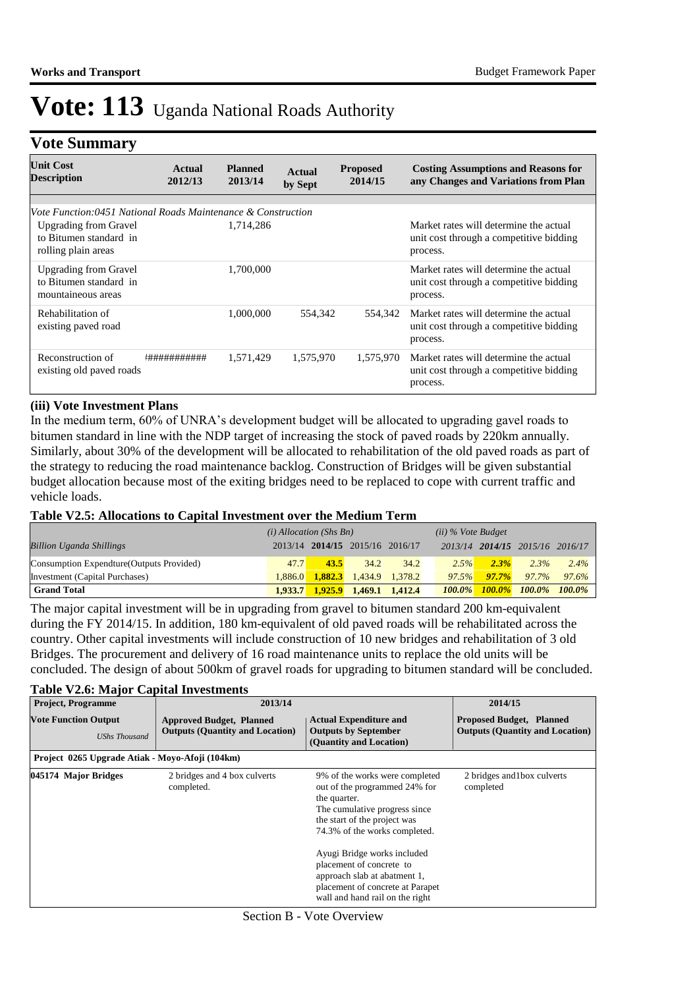### **Vote Summary**

| <b>Unit Cost</b><br><b>Description</b>                                        | Actual<br>2012/13 | <b>Planned</b><br>2013/14 | Actual<br>by Sept | <b>Proposed</b><br>2014/15 | <b>Costing Assumptions and Reasons for</b><br>any Changes and Variations from Plan            |
|-------------------------------------------------------------------------------|-------------------|---------------------------|-------------------|----------------------------|-----------------------------------------------------------------------------------------------|
| Vote Function:0451 National Roads Maintenance & Construction                  |                   |                           |                   |                            |                                                                                               |
| <b>Upgrading from Gravel</b><br>to Bitumen standard in<br>rolling plain areas |                   | 1,714,286                 |                   |                            | Market rates will determine the actual<br>unit cost through a competitive bidding<br>process. |
| <b>Upgrading from Gravel</b><br>to Bitumen standard in<br>mountaineous areas  |                   | 1.700.000                 |                   |                            | Market rates will determine the actual<br>unit cost through a competitive bidding<br>process. |
| Rehabilitation of<br>existing paved road                                      |                   | 1.000.000                 | 554,342           | 554,342                    | Market rates will determine the actual<br>unit cost through a competitive bidding<br>process. |
| Reconstruction of<br>existing old paved roads                                 | *###########      | 1.571.429                 | 1,575,970         | 1,575,970                  | Market rates will determine the actual<br>unit cost through a competitive bidding<br>process. |

#### **(iii) Vote Investment Plans**

In the medium term, 60% of UNRA's development budget will be allocated to upgrading gavel roads to bitumen standard in line with the NDP target of increasing the stock of paved roads by 220km annually. Similarly, about 30% of the development will be allocated to rehabilitation of the old paved roads as part of the strategy to reducing the road maintenance backlog. Construction of Bridges will be given substantial budget allocation because most of the exiting bridges need to be replaced to cope with current traffic and vehicle loads.

#### **Table V2.5: Allocations to Capital Investment over the Medium Term**

|                                           | $(i)$ Allocation (Shs Bn) |         |                                 | $(ii)$ % Vote Budget |           |           |                                 |         |
|-------------------------------------------|---------------------------|---------|---------------------------------|----------------------|-----------|-----------|---------------------------------|---------|
| <b>Billion Uganda Shillings</b>           |                           |         | 2013/14 2014/15 2015/16 2016/17 |                      |           |           | 2013/14 2014/15 2015/16 2016/17 |         |
| Consumption Expendture (Outputs Provided) | 47.7                      | 43.5    | 34.2                            | 34.2                 | 2.5%      | 2.3%      | 2.3%                            | $2.4\%$ |
| Investment (Capital Purchases)            | 1.886.0                   | 1.882.3 |                                 | 1.434.9 1.378.2      | $97.5\%$  | 97.7%     | 97.7%                           | 97.6%   |
| <b>Grand Total</b>                        | 1.933.7                   | 1,925.9 | 1,469.1 1,412.4                 |                      | $100.0\%$ | $100.0\%$ | $100.0\%$ $100.0\%$             |         |

The major capital investment will be in upgrading from gravel to bitumen standard 200 km-equivalent during the FY 2014/15. In addition, 180 km-equivalent of old paved roads will be rehabilitated across the country. Other capital investments will include construction of 10 new bridges and rehabilitation of 3 old Bridges. The procurement and delivery of 16 road maintenance units to replace the old units will be concluded. The design of about 500km of gravel roads for upgrading to bitumen standard will be concluded.

#### **Table V2.6: Major Capital Investments**

| ⊶.                                                  |                                                                           |                                                                                                                                                                                   |                                                                           |
|-----------------------------------------------------|---------------------------------------------------------------------------|-----------------------------------------------------------------------------------------------------------------------------------------------------------------------------------|---------------------------------------------------------------------------|
| <b>Project, Programme</b>                           | 2013/14                                                                   | 2014/15                                                                                                                                                                           |                                                                           |
| <b>Vote Function Output</b><br><b>UShs Thousand</b> | <b>Approved Budget, Planned</b><br><b>Outputs (Quantity and Location)</b> | <b>Actual Expenditure and</b><br><b>Outputs by September</b><br>(Quantity and Location)                                                                                           | <b>Proposed Budget, Planned</b><br><b>Outputs (Quantity and Location)</b> |
| Project 0265 Upgrade Atiak - Movo-Afoji (104km)     |                                                                           |                                                                                                                                                                                   |                                                                           |
| 045174 Major Bridges                                | 2 bridges and 4 box culverts<br>completed.                                | 9% of the works were completed<br>out of the programmed 24% for<br>the quarter.<br>The cumulative progress since<br>the start of the project was<br>74.3% of the works completed. | 2 bridges and 1 box culverts<br>completed                                 |
|                                                     |                                                                           | Ayugi Bridge works included<br>placement of concrete to<br>approach slab at abatment 1,<br>placement of concrete at Parapet<br>wall and hand rail on the right                    |                                                                           |

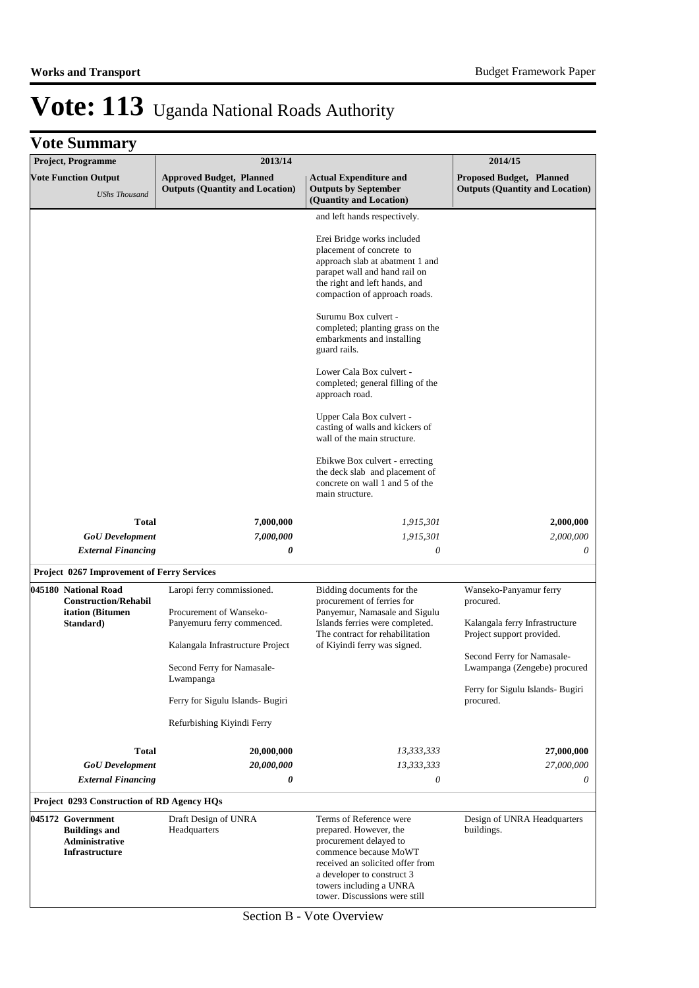| <b>Project, Programme</b>                                                            | 2013/14                                                                                                                                                                                                                              | 2014/15                                                                                                                                                                                                                                                                                                                                                                                                                                                                                                                                                                                                                                           |                                                                                                                                                                                                                   |
|--------------------------------------------------------------------------------------|--------------------------------------------------------------------------------------------------------------------------------------------------------------------------------------------------------------------------------------|---------------------------------------------------------------------------------------------------------------------------------------------------------------------------------------------------------------------------------------------------------------------------------------------------------------------------------------------------------------------------------------------------------------------------------------------------------------------------------------------------------------------------------------------------------------------------------------------------------------------------------------------------|-------------------------------------------------------------------------------------------------------------------------------------------------------------------------------------------------------------------|
| <b>Vote Function Output</b><br><b>UShs Thousand</b>                                  | <b>Approved Budget, Planned</b><br><b>Outputs (Quantity and Location)</b>                                                                                                                                                            | <b>Actual Expenditure and</b><br><b>Outputs by September</b><br>(Quantity and Location)                                                                                                                                                                                                                                                                                                                                                                                                                                                                                                                                                           | Proposed Budget, Planned<br><b>Outputs (Quantity and Location)</b>                                                                                                                                                |
|                                                                                      |                                                                                                                                                                                                                                      | and left hands respectively.<br>Erei Bridge works included<br>placement of concrete to<br>approach slab at abatment 1 and<br>parapet wall and hand rail on<br>the right and left hands, and<br>compaction of approach roads.<br>Surumu Box culvert -<br>completed; planting grass on the<br>embarkments and installing<br>guard rails.<br>Lower Cala Box culvert -<br>completed; general filling of the<br>approach road.<br>Upper Cala Box culvert -<br>casting of walls and kickers of<br>wall of the main structure.<br>Ebikwe Box culvert - errecting<br>the deck slab and placement of<br>concrete on wall 1 and 5 of the<br>main structure. |                                                                                                                                                                                                                   |
|                                                                                      |                                                                                                                                                                                                                                      |                                                                                                                                                                                                                                                                                                                                                                                                                                                                                                                                                                                                                                                   |                                                                                                                                                                                                                   |
| <b>Total</b>                                                                         | 7,000,000                                                                                                                                                                                                                            | 1,915,301                                                                                                                                                                                                                                                                                                                                                                                                                                                                                                                                                                                                                                         | 2,000,000                                                                                                                                                                                                         |
| <b>GoU</b> Development<br><b>External Financing</b>                                  | 7,000,000<br>0                                                                                                                                                                                                                       | 1,915,301<br>0                                                                                                                                                                                                                                                                                                                                                                                                                                                                                                                                                                                                                                    | 2,000,000<br>0                                                                                                                                                                                                    |
|                                                                                      |                                                                                                                                                                                                                                      |                                                                                                                                                                                                                                                                                                                                                                                                                                                                                                                                                                                                                                                   |                                                                                                                                                                                                                   |
| Project 0267 Improvement of Ferry Services                                           |                                                                                                                                                                                                                                      |                                                                                                                                                                                                                                                                                                                                                                                                                                                                                                                                                                                                                                                   |                                                                                                                                                                                                                   |
| 045180 National Road<br><b>Construction/Rehabil</b><br>itation (Bitumen<br>Standard) | Laropi ferry commissioned.<br>Procurement of Wanseko-<br>Panyemuru ferry commenced.<br>Kalangala Infrastructure Project<br>Second Ferry for Namasale-<br>Lwampanga<br>Ferry for Sigulu Islands- Bugiri<br>Refurbishing Kiyindi Ferry | Bidding documents for the<br>procurement of ferries for<br>Panyemur, Namasale and Sigulu<br>Islands ferries were completed.<br>The contract for rehabilitation<br>of Kiyindi ferry was signed.                                                                                                                                                                                                                                                                                                                                                                                                                                                    | Wanseko-Panyamur ferry<br>procured.<br>Kalangala ferry Infrastructure<br>Project support provided.<br>Second Ferry for Namasale-<br>Lwampanga (Zengebe) procured<br>Ferry for Sigulu Islands- Bugiri<br>procured. |
|                                                                                      |                                                                                                                                                                                                                                      | 13,333,333                                                                                                                                                                                                                                                                                                                                                                                                                                                                                                                                                                                                                                        |                                                                                                                                                                                                                   |
| Total<br><b>GoU</b> Development                                                      | 20,000,000<br>20,000,000                                                                                                                                                                                                             | 13,333,333                                                                                                                                                                                                                                                                                                                                                                                                                                                                                                                                                                                                                                        | 27,000,000<br>27,000,000                                                                                                                                                                                          |
| <b>External Financing</b>                                                            | 0                                                                                                                                                                                                                                    | 0                                                                                                                                                                                                                                                                                                                                                                                                                                                                                                                                                                                                                                                 | 0                                                                                                                                                                                                                 |
| Project 0293 Construction of RD Agency HQs                                           |                                                                                                                                                                                                                                      |                                                                                                                                                                                                                                                                                                                                                                                                                                                                                                                                                                                                                                                   |                                                                                                                                                                                                                   |
| 045172 Government<br><b>Buildings and</b><br>Administrative<br><b>Infrastructure</b> | Draft Design of UNRA<br>Headquarters                                                                                                                                                                                                 | Terms of Reference were<br>prepared. However, the<br>procurement delayed to<br>commence because MoWT<br>received an solicited offer from<br>a developer to construct 3<br>towers including a UNRA<br>tower. Discussions were still                                                                                                                                                                                                                                                                                                                                                                                                                | Design of UNRA Headquarters<br>buildings.                                                                                                                                                                         |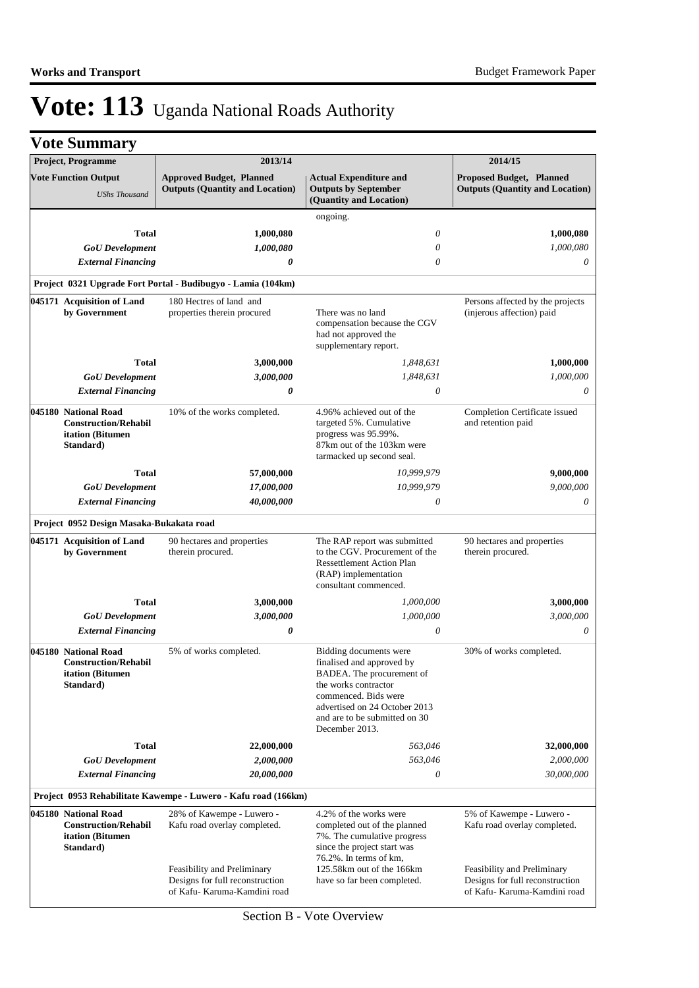| <b>Project, Programme</b>                                                                                                                         | 2013/14                                                                                        |                                                                                                                                                                                                                      | 2014/15                                                                                        |
|---------------------------------------------------------------------------------------------------------------------------------------------------|------------------------------------------------------------------------------------------------|----------------------------------------------------------------------------------------------------------------------------------------------------------------------------------------------------------------------|------------------------------------------------------------------------------------------------|
| <b>Vote Function Output</b><br><b>UShs Thousand</b>                                                                                               | <b>Approved Budget, Planned</b><br><b>Outputs (Quantity and Location)</b>                      | <b>Actual Expenditure and</b><br><b>Outputs by September</b><br>(Quantity and Location)                                                                                                                              | <b>Proposed Budget, Planned</b><br><b>Outputs (Quantity and Location)</b>                      |
|                                                                                                                                                   |                                                                                                | ongoing.                                                                                                                                                                                                             |                                                                                                |
| <b>Total</b>                                                                                                                                      | 1,000,080                                                                                      | $\theta$                                                                                                                                                                                                             | 1,000,080                                                                                      |
| <b>GoU</b> Development                                                                                                                            | 1,000,080                                                                                      | 0                                                                                                                                                                                                                    | 1,000,080                                                                                      |
| <b>External Financing</b>                                                                                                                         | 0                                                                                              | $\theta$                                                                                                                                                                                                             | $\theta$                                                                                       |
|                                                                                                                                                   | Project 0321 Upgrade Fort Portal - Budibugyo - Lamia (104km)                                   |                                                                                                                                                                                                                      |                                                                                                |
| 045171 Acquisition of Land                                                                                                                        | 180 Hectres of land and                                                                        |                                                                                                                                                                                                                      | Persons affected by the projects                                                               |
| by Government                                                                                                                                     | properties therein procured                                                                    | There was no land<br>compensation because the CGV<br>had not approved the<br>supplementary report.                                                                                                                   | (injerous affection) paid                                                                      |
| <b>Total</b>                                                                                                                                      | 3,000,000                                                                                      | 1,848,631                                                                                                                                                                                                            | 1,000,000                                                                                      |
| <b>GoU</b> Development                                                                                                                            | 3,000,000                                                                                      | 1,848,631                                                                                                                                                                                                            | 1,000,000                                                                                      |
| <b>External Financing</b>                                                                                                                         | 0                                                                                              | $\theta$                                                                                                                                                                                                             | 0                                                                                              |
| 045180 National Road<br><b>Construction/Rehabil</b><br>itation (Bitumen<br>Standard)                                                              | 10% of the works completed.                                                                    | 4.96% achieved out of the<br>targeted 5%. Cumulative<br>progress was 95.99%.<br>87km out of the 103km were<br>tarmacked up second seal.                                                                              | Completion Certificate issued<br>and retention paid                                            |
| <b>Total</b>                                                                                                                                      | 57,000,000                                                                                     | 10,999,979                                                                                                                                                                                                           | 9,000,000                                                                                      |
| <b>GoU</b> Development                                                                                                                            | 17,000,000                                                                                     | 10,999,979                                                                                                                                                                                                           | 9,000,000                                                                                      |
| <b>External Financing</b>                                                                                                                         | 40,000,000                                                                                     | $\theta$                                                                                                                                                                                                             | 0                                                                                              |
| Project 0952 Design Masaka-Bukakata road                                                                                                          |                                                                                                |                                                                                                                                                                                                                      |                                                                                                |
| 045171 Acquisition of Land<br>by Government                                                                                                       | 90 hectares and properties<br>therein procured.                                                | The RAP report was submitted<br>to the CGV. Procurement of the<br><b>Ressettlement Action Plan</b><br>(RAP) implementation<br>consultant commenced.                                                                  | 90 hectares and properties<br>therein procured.                                                |
| <b>Total</b>                                                                                                                                      | 3,000,000                                                                                      | 1,000,000                                                                                                                                                                                                            | 3,000,000                                                                                      |
| <b>GoU</b> Development                                                                                                                            | 3,000,000                                                                                      | 1,000,000                                                                                                                                                                                                            | 3,000,000                                                                                      |
| <b>External Financing</b>                                                                                                                         | 0                                                                                              | $\theta$                                                                                                                                                                                                             | 0                                                                                              |
| 045180 National Road<br><b>Construction/Rehabil</b><br>itation (Bitumen<br>Standard)                                                              | 5% of works completed.                                                                         | Bidding documents were<br>finalised and approved by<br>BADEA. The procurement of<br>the works contractor<br>commenced. Bids were<br>advertised on 24 October 2013<br>and are to be submitted on 30<br>December 2013. | 30% of works completed.                                                                        |
| Total                                                                                                                                             | 22,000,000                                                                                     | 563,046                                                                                                                                                                                                              | 32,000,000                                                                                     |
| <b>GoU</b> Development                                                                                                                            | 2,000,000                                                                                      | 563,046                                                                                                                                                                                                              | 2,000,000                                                                                      |
| <b>External Financing</b>                                                                                                                         | 20,000,000                                                                                     | 0                                                                                                                                                                                                                    | 30,000,000                                                                                     |
|                                                                                                                                                   | Project 0953 Rehabilitate Kawempe - Luwero - Kafu road (166km)                                 |                                                                                                                                                                                                                      |                                                                                                |
| 045180 National Road<br>28% of Kawempe - Luwero -<br><b>Construction/Rehabil</b><br>Kafu road overlay completed.<br>itation (Bitumen<br>Standard) |                                                                                                | 4.2% of the works were<br>completed out of the planned<br>7%. The cumulative progress<br>since the project start was<br>76.2%. In terms of km,                                                                       | 5% of Kawempe - Luwero -<br>Kafu road overlay completed.                                       |
|                                                                                                                                                   | Feasibility and Preliminary<br>Designs for full reconstruction<br>of Kafu- Karuma-Kamdini road | 125.58km out of the 166km<br>have so far been completed.                                                                                                                                                             | Feasibility and Preliminary<br>Designs for full reconstruction<br>of Kafu- Karuma-Kamdini road |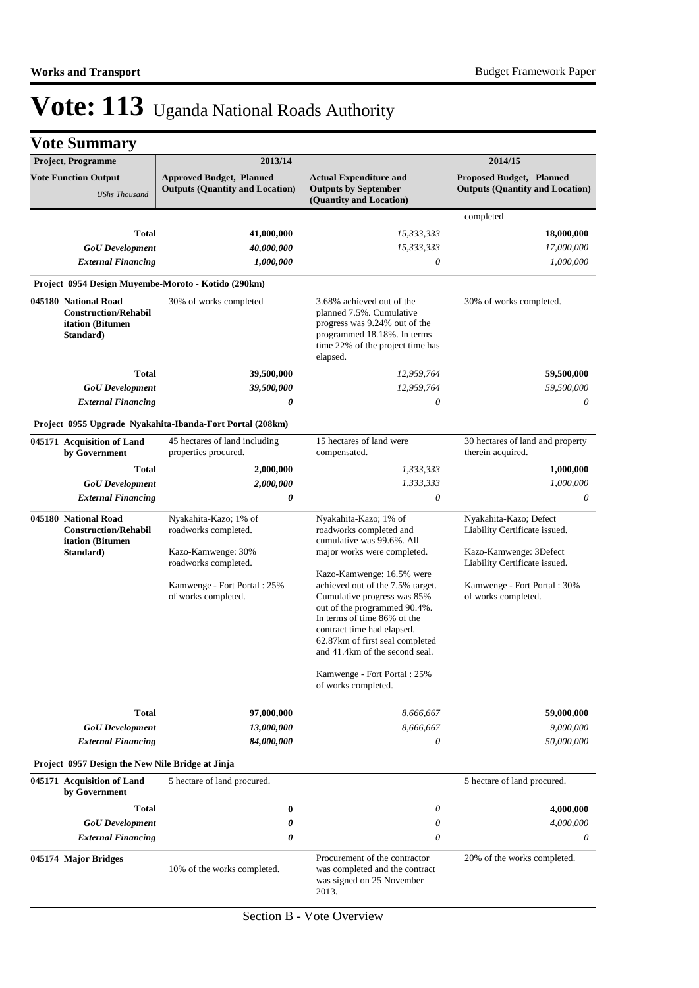| <b>Project, Programme</b>                                                            | 2013/14                                                                   |                                                                                                                                                                                                                                   | 2014/15                                                            |
|--------------------------------------------------------------------------------------|---------------------------------------------------------------------------|-----------------------------------------------------------------------------------------------------------------------------------------------------------------------------------------------------------------------------------|--------------------------------------------------------------------|
| <b>Vote Function Output</b><br><b>UShs Thousand</b>                                  | <b>Approved Budget, Planned</b><br><b>Outputs (Quantity and Location)</b> | <b>Actual Expenditure and</b><br><b>Outputs by September</b><br>(Quantity and Location)                                                                                                                                           | Proposed Budget, Planned<br><b>Outputs (Quantity and Location)</b> |
|                                                                                      |                                                                           |                                                                                                                                                                                                                                   | completed                                                          |
| Total                                                                                | 41,000,000                                                                | 15,333,333                                                                                                                                                                                                                        | 18,000,000                                                         |
| <b>GoU</b> Development                                                               | 40,000,000                                                                | 15,333,333                                                                                                                                                                                                                        | 17,000,000                                                         |
| <b>External Financing</b>                                                            | 1,000,000                                                                 | $\theta$                                                                                                                                                                                                                          | 1,000,000                                                          |
|                                                                                      | Project 0954 Design Muyembe-Moroto - Kotido (290km)                       |                                                                                                                                                                                                                                   |                                                                    |
|                                                                                      |                                                                           |                                                                                                                                                                                                                                   |                                                                    |
| 045180 National Road<br><b>Construction/Rehabil</b><br>itation (Bitumen<br>Standard) | 30% of works completed                                                    | 3.68% achieved out of the<br>planned 7.5%. Cumulative<br>progress was 9.24% out of the<br>programmed 18.18%. In terms<br>time 22% of the project time has<br>elapsed.                                                             | 30% of works completed.                                            |
| Total                                                                                | 39,500,000                                                                | 12,959,764                                                                                                                                                                                                                        | 59,500,000                                                         |
| <b>GoU</b> Development                                                               | 39,500,000                                                                | 12,959,764                                                                                                                                                                                                                        | 59,500,000                                                         |
| <b>External Financing</b>                                                            | 0                                                                         | 0                                                                                                                                                                                                                                 | 0                                                                  |
|                                                                                      | Project 0955 Upgrade Nyakahita-Ibanda-Fort Portal (208km)                 |                                                                                                                                                                                                                                   |                                                                    |
| 045171 Acquisition of Land<br>by Government                                          | 45 hectares of land including<br>properties procured.                     | 15 hectares of land were<br>compensated.                                                                                                                                                                                          | 30 hectares of land and property<br>therein acquired.              |
| Total                                                                                | 2,000,000                                                                 | 1,333,333                                                                                                                                                                                                                         | 1,000,000                                                          |
| <b>GoU</b> Development                                                               | 2,000,000                                                                 | 1,333,333                                                                                                                                                                                                                         | 1,000,000                                                          |
| <b>External Financing</b>                                                            | 0                                                                         | $\theta$                                                                                                                                                                                                                          | 0                                                                  |
| 045180 National Road<br><b>Construction/Rehabil</b><br>itation (Bitumen              | Nyakahita-Kazo; 1% of<br>roadworks completed.                             | Nyakahita-Kazo; 1% of<br>roadworks completed and<br>cumulative was 99.6%. All                                                                                                                                                     | Nyakahita-Kazo; Defect<br>Liability Certificate issued.            |
| Standard)                                                                            | Kazo-Kamwenge: 30%<br>roadworks completed.                                | major works were completed.<br>Kazo-Kamwenge: 16.5% were                                                                                                                                                                          | Kazo-Kamwenge: 3Defect<br>Liability Certificate issued.            |
|                                                                                      | Kamwenge - Fort Portal: 25%<br>of works completed.                        | achieved out of the 7.5% target.<br>Cumulative progress was 85%<br>out of the programmed 90.4%.<br>In terms of time 86% of the<br>contract time had elapsed.<br>62.87km of first seal completed<br>and 41.4km of the second seal. | Kamwenge - Fort Portal: 30%<br>of works completed.                 |
|                                                                                      |                                                                           | Kamwenge - Fort Portal : 25%<br>of works completed.                                                                                                                                                                               |                                                                    |
| <b>Total</b>                                                                         | 97,000,000                                                                | 8,666,667                                                                                                                                                                                                                         | 59,000,000                                                         |
| <b>GoU</b> Development                                                               | 13,000,000                                                                | 8,666,667                                                                                                                                                                                                                         | 9,000,000                                                          |
| <b>External Financing</b>                                                            | 84,000,000                                                                | 0                                                                                                                                                                                                                                 | 50,000,000                                                         |
| Project 0957 Design the New Nile Bridge at Jinja                                     |                                                                           |                                                                                                                                                                                                                                   |                                                                    |
| 045171 Acquisition of Land<br>by Government                                          | 5 hectare of land procured.                                               |                                                                                                                                                                                                                                   | 5 hectare of land procured.                                        |
| <b>Total</b>                                                                         | 0                                                                         | 0                                                                                                                                                                                                                                 | 4,000,000                                                          |
| <b>GoU</b> Development                                                               | 0                                                                         | 0                                                                                                                                                                                                                                 | 4,000,000                                                          |
| <b>External Financing</b>                                                            | 0                                                                         | 0                                                                                                                                                                                                                                 | 0                                                                  |
| 045174 Major Bridges                                                                 | 10% of the works completed.                                               | Procurement of the contractor<br>was completed and the contract<br>was signed on 25 November<br>2013.                                                                                                                             | 20% of the works completed.                                        |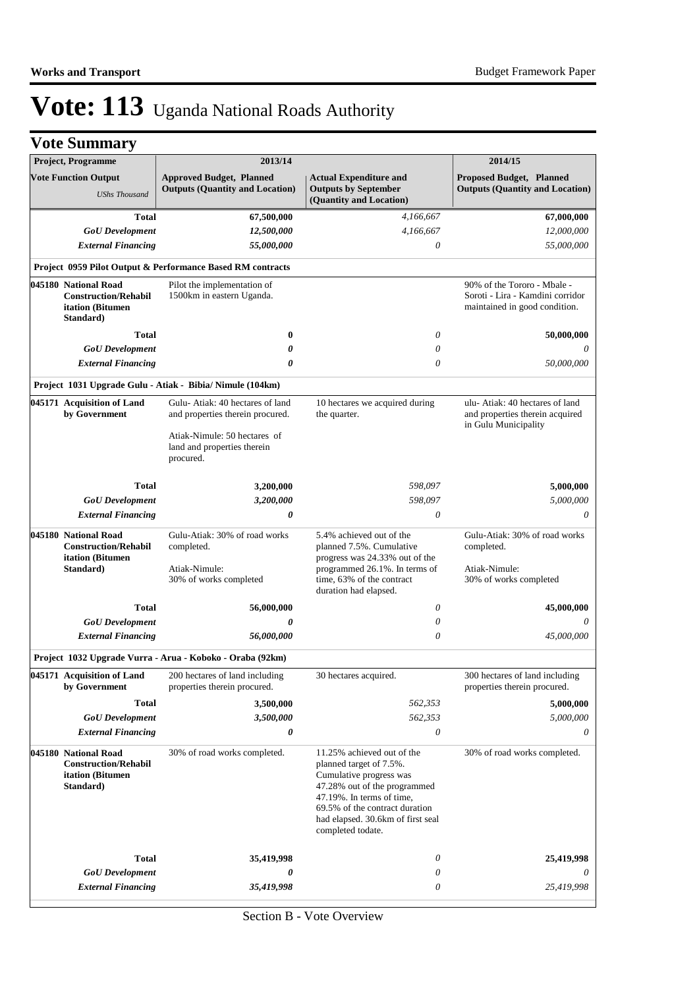|  | <b>Vote Summary</b> |  |
|--|---------------------|--|
|--|---------------------|--|

| <b>Project, Programme</b>                                                            | 2013/14                                                                                                                                         |                                                                                                                                                                                                                                           | 2014/15                                                                                          |
|--------------------------------------------------------------------------------------|-------------------------------------------------------------------------------------------------------------------------------------------------|-------------------------------------------------------------------------------------------------------------------------------------------------------------------------------------------------------------------------------------------|--------------------------------------------------------------------------------------------------|
| <b>Vote Function Output</b><br><b>UShs Thousand</b>                                  | <b>Approved Budget, Planned</b><br><b>Outputs (Quantity and Location)</b>                                                                       | <b>Actual Expenditure and</b><br><b>Outputs by September</b><br>(Quantity and Location)                                                                                                                                                   | <b>Proposed Budget, Planned</b><br><b>Outputs (Quantity and Location)</b>                        |
| Total<br><b>GoU</b> Development                                                      | 67,500,000<br>12,500,000                                                                                                                        | 4,166,667<br>4,166,667                                                                                                                                                                                                                    | 67,000,000<br>12,000,000                                                                         |
| <b>External Financing</b>                                                            | 55,000,000                                                                                                                                      | $\theta$                                                                                                                                                                                                                                  | 55,000,000                                                                                       |
|                                                                                      | <b>Project 0959 Pilot Output &amp; Performance Based RM contracts</b>                                                                           |                                                                                                                                                                                                                                           |                                                                                                  |
| 045180 National Road<br><b>Construction/Rehabil</b><br>itation (Bitumen<br>Standard) | Pilot the implementation of<br>1500km in eastern Uganda.                                                                                        |                                                                                                                                                                                                                                           | 90% of the Tororo - Mbale -<br>Soroti - Lira - Kamdini corridor<br>maintained in good condition. |
| Total                                                                                | 0                                                                                                                                               | 0                                                                                                                                                                                                                                         | 50,000,000                                                                                       |
| <b>GoU</b> Development                                                               | 0                                                                                                                                               | 0                                                                                                                                                                                                                                         | 0                                                                                                |
| <b>External Financing</b>                                                            | 0                                                                                                                                               | $\theta$                                                                                                                                                                                                                                  | 50,000,000                                                                                       |
|                                                                                      | Project 1031 Upgrade Gulu - Atiak - Bibia/ Nimule (104km)                                                                                       |                                                                                                                                                                                                                                           |                                                                                                  |
| 045171 Acquisition of Land<br>by Government                                          | Gulu-Atiak: 40 hectares of land<br>and properties therein procured.<br>Atiak-Nimule: 50 hectares of<br>land and properties therein<br>procured. | 10 hectares we acquired during<br>the quarter.                                                                                                                                                                                            | ulu- Atiak: 40 hectares of land<br>and properties therein acquired<br>in Gulu Municipality       |
| Total                                                                                | 3,200,000                                                                                                                                       | 598,097                                                                                                                                                                                                                                   | 5,000,000                                                                                        |
| <b>GoU</b> Development                                                               | 3,200,000                                                                                                                                       | 598,097                                                                                                                                                                                                                                   | 5,000,000                                                                                        |
| <b>External Financing</b>                                                            | 0                                                                                                                                               | $\theta$                                                                                                                                                                                                                                  | 0                                                                                                |
| 045180 National Road<br><b>Construction/Rehabil</b><br>itation (Bitumen<br>Standard) | Gulu-Atiak: 30% of road works<br>completed.<br>Atiak-Nimule:                                                                                    | 5.4% achieved out of the<br>planned 7.5%. Cumulative<br>progress was 24.33% out of the<br>programmed 26.1%. In terms of                                                                                                                   | Gulu-Atiak: 30% of road works<br>completed.<br>Atiak-Nimule:                                     |
|                                                                                      | 30% of works completed                                                                                                                          | time, 63% of the contract<br>duration had elapsed.                                                                                                                                                                                        | 30% of works completed                                                                           |
| Total                                                                                | 56,000,000                                                                                                                                      | 0                                                                                                                                                                                                                                         | 45,000,000                                                                                       |
| <b>GoU</b> Development                                                               | 0                                                                                                                                               | $\theta$                                                                                                                                                                                                                                  |                                                                                                  |
| <b>External Financing</b>                                                            | 56,000,000                                                                                                                                      | $\theta$                                                                                                                                                                                                                                  | 45,000,000                                                                                       |
|                                                                                      | Project 1032 Upgrade Vurra - Arua - Koboko - Oraba (92km)                                                                                       |                                                                                                                                                                                                                                           |                                                                                                  |
| 045171 Acquisition of Land<br>by Government                                          | 200 hectares of land including<br>properties therein procured.                                                                                  | 30 hectares acquired.                                                                                                                                                                                                                     | 300 hectares of land including<br>properties therein procured.                                   |
| <b>Total</b>                                                                         | 3,500,000                                                                                                                                       | 562,353                                                                                                                                                                                                                                   | 5,000,000                                                                                        |
| <b>GoU</b> Development                                                               | 3,500,000                                                                                                                                       | 562,353                                                                                                                                                                                                                                   | 5,000,000                                                                                        |
| <b>External Financing</b>                                                            | 0                                                                                                                                               | 0                                                                                                                                                                                                                                         | 0                                                                                                |
| 045180 National Road<br><b>Construction/Rehabil</b><br>itation (Bitumen<br>Standard) | 30% of road works completed.                                                                                                                    | 11.25% achieved out of the<br>planned target of 7.5%.<br>Cumulative progress was<br>47.28% out of the programmed<br>47.19%. In terms of time,<br>69.5% of the contract duration<br>had elapsed. 30.6km of first seal<br>completed todate. | 30% of road works completed.                                                                     |
| Total                                                                                | 35,419,998                                                                                                                                      | 0                                                                                                                                                                                                                                         | 25,419,998                                                                                       |
| <b>GoU</b> Development                                                               | 0                                                                                                                                               | 0                                                                                                                                                                                                                                         |                                                                                                  |
| <b>External Financing</b>                                                            | 35,419,998                                                                                                                                      | 0                                                                                                                                                                                                                                         | 25,419,998                                                                                       |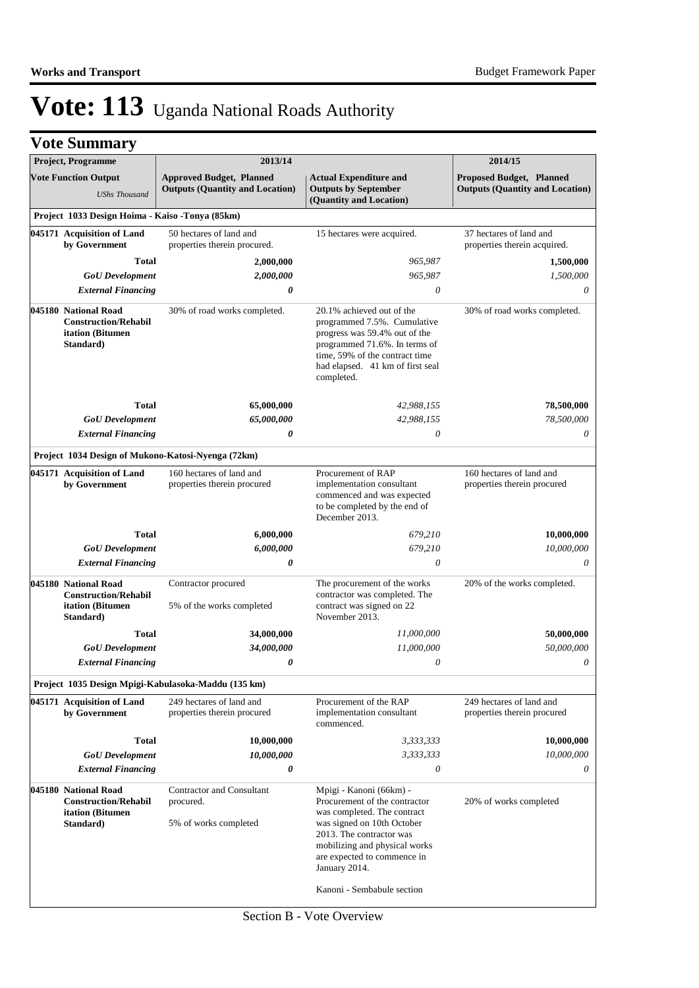| Project, Programme                                                                   |                      | 2013/14                                                                   |                                                                                                                                                                                                                                                                  | 2014/15                                                            |
|--------------------------------------------------------------------------------------|----------------------|---------------------------------------------------------------------------|------------------------------------------------------------------------------------------------------------------------------------------------------------------------------------------------------------------------------------------------------------------|--------------------------------------------------------------------|
| <b>Vote Function Output</b>                                                          | <b>UShs Thousand</b> | <b>Approved Budget, Planned</b><br><b>Outputs (Quantity and Location)</b> | <b>Actual Expenditure and</b><br><b>Outputs by September</b><br>(Quantity and Location)                                                                                                                                                                          | Proposed Budget, Planned<br><b>Outputs (Quantity and Location)</b> |
| Project 1033 Design Hoima - Kaiso -Tonya (85km)                                      |                      |                                                                           |                                                                                                                                                                                                                                                                  |                                                                    |
| 045171 Acquisition of Land<br>by Government                                          |                      | 50 hectares of land and<br>properties therein procured.                   | 15 hectares were acquired.                                                                                                                                                                                                                                       | 37 hectares of land and<br>properties therein acquired.            |
|                                                                                      | <b>Total</b>         | 2,000,000                                                                 | 965,987                                                                                                                                                                                                                                                          | 1,500,000                                                          |
| <b>GoU</b> Development                                                               |                      | 2,000,000                                                                 | 965,987                                                                                                                                                                                                                                                          | 1,500,000                                                          |
| <b>External Financing</b>                                                            |                      | 0                                                                         | 0                                                                                                                                                                                                                                                                | 0                                                                  |
| 045180 National Road<br><b>Construction/Rehabil</b><br>itation (Bitumen<br>Standard) |                      | 30% of road works completed.                                              | 20.1% achieved out of the<br>programmed 7.5%. Cumulative<br>progress was 59.4% out of the<br>programmed 71.6%. In terms of<br>time, 59% of the contract time<br>had elapsed. 41 km of first seal<br>completed.                                                   | 30% of road works completed.                                       |
|                                                                                      | <b>Total</b>         | 65,000,000                                                                | 42,988,155                                                                                                                                                                                                                                                       | 78,500,000                                                         |
| <b>GoU</b> Development                                                               |                      | 65,000,000                                                                | 42,988,155                                                                                                                                                                                                                                                       | 78,500,000                                                         |
| <b>External Financing</b>                                                            |                      | 0                                                                         | 0                                                                                                                                                                                                                                                                | 0                                                                  |
|                                                                                      |                      | Project 1034 Design of Mukono-Katosi-Nyenga (72km)                        |                                                                                                                                                                                                                                                                  |                                                                    |
| 045171 Acquisition of Land<br>by Government                                          |                      | 160 hectares of land and<br>properties therein procured                   | Procurement of RAP<br>implementation consultant<br>commenced and was expected<br>to be completed by the end of<br>December 2013.                                                                                                                                 | 160 hectares of land and<br>properties therein procured            |
|                                                                                      | <b>Total</b>         | 6,000,000                                                                 | 679,210                                                                                                                                                                                                                                                          | 10,000,000                                                         |
| <b>GoU</b> Development                                                               |                      | 6,000,000                                                                 | 679,210                                                                                                                                                                                                                                                          | 10,000,000                                                         |
| <b>External Financing</b>                                                            |                      | 0                                                                         | $\theta$                                                                                                                                                                                                                                                         | 0                                                                  |
| 045180 National Road<br><b>Construction/Rehabil</b><br>itation (Bitumen<br>Standard) |                      | Contractor procured<br>5% of the works completed                          | The procurement of the works<br>contractor was completed. The<br>contract was signed on 22<br>November 2013.                                                                                                                                                     | 20% of the works completed.                                        |
|                                                                                      | Total                | 34,000,000                                                                | 11,000,000                                                                                                                                                                                                                                                       | 50,000,000                                                         |
| <b>GoU</b> Development                                                               |                      | 34,000,000                                                                | 11,000,000                                                                                                                                                                                                                                                       | 50,000,000                                                         |
| <b>External Financing</b>                                                            |                      | 0                                                                         | 0                                                                                                                                                                                                                                                                | 0                                                                  |
|                                                                                      |                      | Project 1035 Design Mpigi-Kabulasoka-Maddu (135 km)                       |                                                                                                                                                                                                                                                                  |                                                                    |
| 045171 Acquisition of Land<br>by Government                                          |                      | 249 hectares of land and<br>properties therein procured                   | Procurement of the RAP<br>implementation consultant<br>commenced.                                                                                                                                                                                                | 249 hectares of land and<br>properties therein procured            |
|                                                                                      | <b>Total</b>         | 10,000,000                                                                | 3,333,333                                                                                                                                                                                                                                                        | 10,000,000                                                         |
| <b>GoU</b> Development                                                               |                      | 10,000,000                                                                | 3,333,333                                                                                                                                                                                                                                                        | 10,000,000                                                         |
| <b>External Financing</b>                                                            |                      | 0                                                                         | $\boldsymbol{\mathit{0}}$                                                                                                                                                                                                                                        | 0                                                                  |
| 045180 National Road<br><b>Construction/Rehabil</b><br>itation (Bitumen<br>Standard) |                      | <b>Contractor and Consultant</b><br>procured.<br>5% of works completed    | Mpigi - Kanoni (66km) -<br>Procurement of the contractor<br>was completed. The contract<br>was signed on 10th October<br>2013. The contractor was<br>mobilizing and physical works<br>are expected to commence in<br>January 2014.<br>Kanoni - Sembabule section | 20% of works completed                                             |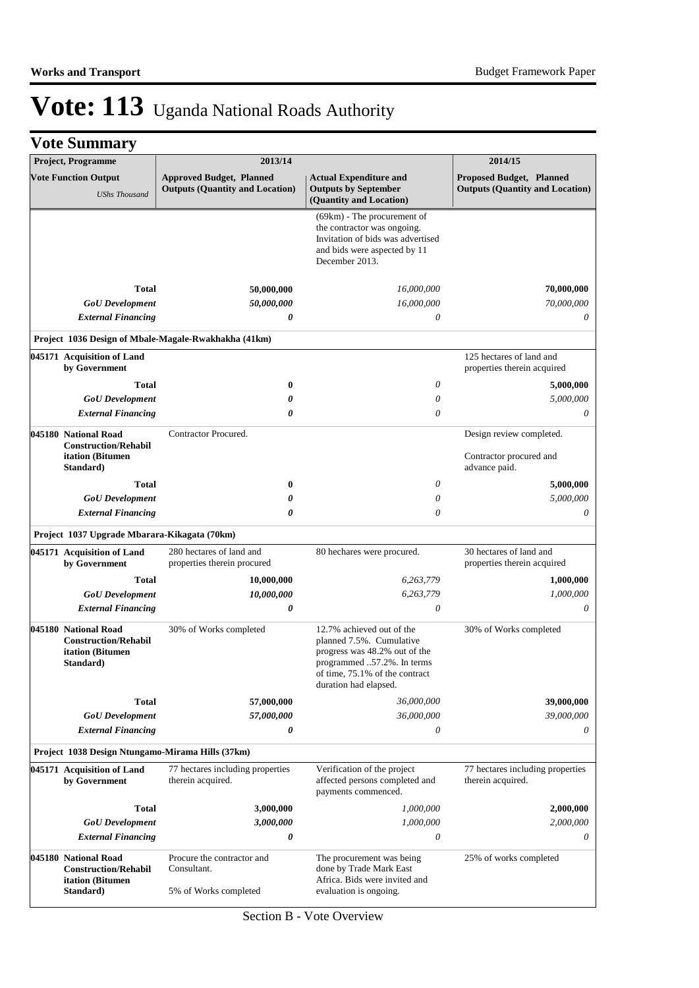| Project, Programme                                                                   | 2013/14                                                                   |                                                                                                                                                                                 | 2014/15                                                                   |
|--------------------------------------------------------------------------------------|---------------------------------------------------------------------------|---------------------------------------------------------------------------------------------------------------------------------------------------------------------------------|---------------------------------------------------------------------------|
| <b>Vote Function Output</b><br><b>UShs Thousand</b>                                  | <b>Approved Budget, Planned</b><br><b>Outputs (Quantity and Location)</b> | <b>Actual Expenditure and</b><br><b>Outputs by September</b><br>(Quantity and Location)                                                                                         | <b>Proposed Budget, Planned</b><br><b>Outputs (Quantity and Location)</b> |
|                                                                                      |                                                                           | $(69km)$ - The procurement of<br>the contractor was ongoing.<br>Invitation of bids was advertised<br>and bids were aspected by 11<br>December 2013.                             |                                                                           |
| Total                                                                                | 50,000,000                                                                | 16,000,000                                                                                                                                                                      | 70,000,000                                                                |
| <b>GoU</b> Development                                                               | 50,000,000                                                                | 16,000,000                                                                                                                                                                      | 70,000,000                                                                |
| <b>External Financing</b>                                                            | 0                                                                         | 0                                                                                                                                                                               | 0                                                                         |
|                                                                                      | Project 1036 Design of Mbale-Magale-Rwakhakha (41km)                      |                                                                                                                                                                                 |                                                                           |
| 045171 Acquisition of Land<br>by Government                                          |                                                                           |                                                                                                                                                                                 | 125 hectares of land and<br>properties therein acquired                   |
| <b>Total</b>                                                                         | $\bf{0}$                                                                  | 0                                                                                                                                                                               | 5,000,000                                                                 |
| <b>GoU</b> Development                                                               | 0                                                                         | $\theta$                                                                                                                                                                        | 5,000,000                                                                 |
| <b>External Financing</b>                                                            | 0                                                                         | $\theta$                                                                                                                                                                        | 0                                                                         |
| 045180 National Road<br><b>Construction/Rehabil</b>                                  | Contractor Procured.                                                      |                                                                                                                                                                                 | Design review completed.                                                  |
| itation (Bitumen<br>Standard)                                                        |                                                                           |                                                                                                                                                                                 | Contractor procured and<br>advance paid.                                  |
| <b>Total</b>                                                                         | $\bf{0}$                                                                  | $\theta$                                                                                                                                                                        | 5,000,000                                                                 |
| <b>GoU</b> Development                                                               | 0                                                                         | $\theta$                                                                                                                                                                        | 5,000,000                                                                 |
| <b>External Financing</b>                                                            | 0                                                                         | $\theta$                                                                                                                                                                        | 0                                                                         |
| Project 1037 Upgrade Mbarara-Kikagata (70km)                                         |                                                                           |                                                                                                                                                                                 |                                                                           |
| 045171 Acquisition of Land<br>by Government                                          | 280 hectares of land and<br>properties therein procured                   | 80 hechares were procured.                                                                                                                                                      | 30 hectares of land and<br>properties therein acquired                    |
| <b>Total</b>                                                                         | 10,000,000                                                                | 6,263,779                                                                                                                                                                       | 1,000,000                                                                 |
| <b>GoU</b> Development                                                               | 10,000,000                                                                | 6,263,779                                                                                                                                                                       | 1,000,000                                                                 |
| <b>External Financing</b>                                                            | 0                                                                         | $\theta$                                                                                                                                                                        | 0                                                                         |
| 045180 National Road<br><b>Construction/Rehabil</b><br>itation (Bitumen<br>Standard) | 30% of Works completed                                                    | 12.7% achieved out of the<br>planned 7.5%. Cumulative<br>progress was 48.2% out of the<br>programmed 57.2%. In terms<br>of time, 75.1% of the contract<br>duration had elapsed. | 30% of Works completed                                                    |
| Total                                                                                | 57,000,000                                                                | 36,000,000                                                                                                                                                                      | 39,000,000                                                                |
| <b>GoU</b> Development                                                               | 57,000,000                                                                | 36,000,000                                                                                                                                                                      | 39,000,000                                                                |
| <b>External Financing</b>                                                            | 0                                                                         | 0                                                                                                                                                                               | 0                                                                         |
| Project 1038 Design Ntungamo-Mirama Hills (37km)                                     |                                                                           |                                                                                                                                                                                 |                                                                           |
| 045171 Acquisition of Land<br>by Government                                          | 77 hectares including properties<br>therein acquired.                     | Verification of the project<br>affected persons completed and<br>payments commenced.                                                                                            | 77 hectares including properties<br>therein acquired.                     |
| <b>Total</b>                                                                         | 3,000,000                                                                 | 1,000,000                                                                                                                                                                       | 2,000,000                                                                 |
| <b>GoU</b> Development                                                               | 3,000,000                                                                 | 1,000,000                                                                                                                                                                       | 2,000,000                                                                 |
| <b>External Financing</b>                                                            | 0                                                                         | 0                                                                                                                                                                               | 0                                                                         |
| 045180 National Road<br><b>Construction/Rehabil</b><br>itation (Bitumen<br>Standard) | Procure the contractor and<br>Consultant.<br>5% of Works completed        | The procurement was being<br>done by Trade Mark East<br>Africa. Bids were invited and<br>evaluation is ongoing.                                                                 | 25% of works completed                                                    |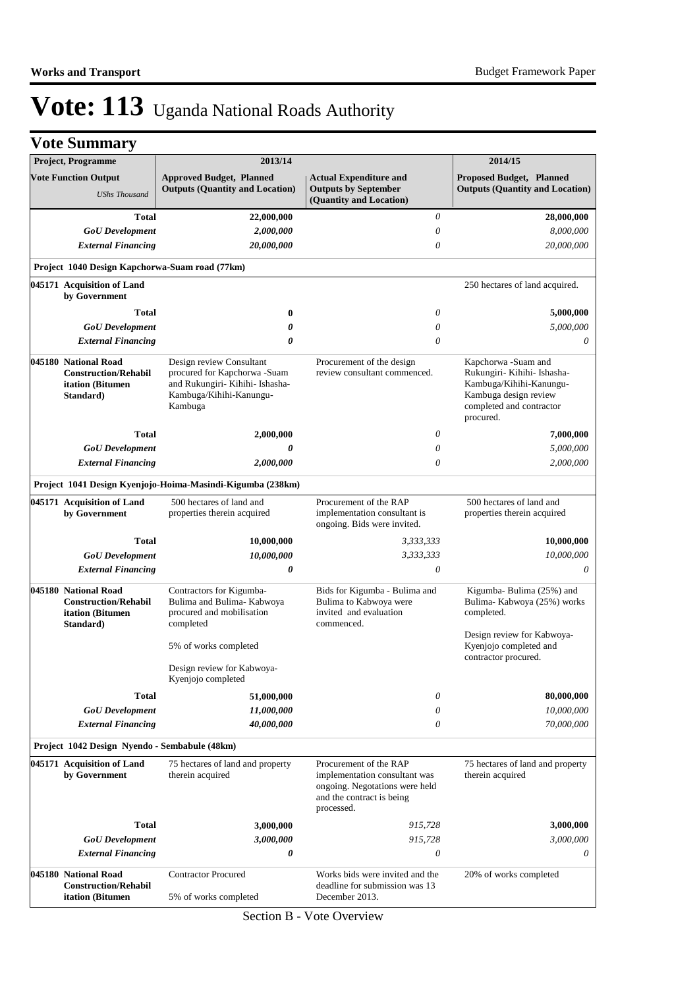| <b>Vote Summary</b>                                                                  |                                                                                                                                   |                                                                                                                                      |                                                                                                                                                 |
|--------------------------------------------------------------------------------------|-----------------------------------------------------------------------------------------------------------------------------------|--------------------------------------------------------------------------------------------------------------------------------------|-------------------------------------------------------------------------------------------------------------------------------------------------|
| Project, Programme                                                                   | 2013/14                                                                                                                           |                                                                                                                                      | 2014/15                                                                                                                                         |
| <b>Vote Function Output</b>                                                          | <b>Approved Budget, Planned</b><br><b>Outputs (Quantity and Location)</b>                                                         | <b>Actual Expenditure and</b><br><b>Outputs by September</b>                                                                         | <b>Proposed Budget, Planned</b><br><b>Outputs (Quantity and Location)</b>                                                                       |
| <b>UShs Thousand</b>                                                                 |                                                                                                                                   | (Quantity and Location)                                                                                                              |                                                                                                                                                 |
| <b>Total</b>                                                                         | 22,000,000                                                                                                                        | $\theta$                                                                                                                             | 28,000,000                                                                                                                                      |
| <b>GoU</b> Development                                                               | 2,000,000                                                                                                                         | 0                                                                                                                                    | 8,000,000                                                                                                                                       |
| <b>External Financing</b>                                                            | 20,000,000                                                                                                                        | $\theta$                                                                                                                             | 20,000,000                                                                                                                                      |
| Project 1040 Design Kapchorwa-Suam road (77km)                                       |                                                                                                                                   |                                                                                                                                      |                                                                                                                                                 |
| 045171 Acquisition of Land<br>by Government                                          |                                                                                                                                   |                                                                                                                                      | 250 hectares of land acquired.                                                                                                                  |
| Total                                                                                | $\bf{0}$                                                                                                                          | $\theta$                                                                                                                             | 5,000,000                                                                                                                                       |
| <b>GoU</b> Development                                                               | 0                                                                                                                                 | $\theta$                                                                                                                             | 5,000,000                                                                                                                                       |
| <b>External Financing</b>                                                            | 0                                                                                                                                 | $\theta$                                                                                                                             | 0                                                                                                                                               |
| 045180 National Road<br><b>Construction/Rehabil</b><br>itation (Bitumen<br>Standard) | Design review Consultant<br>procured for Kapchorwa -Suam<br>and Rukungiri- Kihihi- Ishasha-<br>Kambuga/Kihihi-Kanungu-<br>Kambuga | Procurement of the design<br>review consultant commenced.                                                                            | Kapchorwa -Suam and<br>Rukungiri- Kihihi- Ishasha-<br>Kambuga/Kihihi-Kanungu-<br>Kambuga design review<br>completed and contractor<br>procured. |
| <b>Total</b>                                                                         | 2,000,000                                                                                                                         | 0                                                                                                                                    | 7,000,000                                                                                                                                       |
| <b>GoU</b> Development                                                               | 0                                                                                                                                 | 0                                                                                                                                    | 5,000,000                                                                                                                                       |
| <b>External Financing</b>                                                            | 2,000,000                                                                                                                         | $\theta$                                                                                                                             | 2,000,000                                                                                                                                       |
|                                                                                      | Project 1041 Design Kyenjojo-Hoima-Masindi-Kigumba (238km)                                                                        |                                                                                                                                      |                                                                                                                                                 |
| 045171 Acquisition of Land<br>by Government                                          | 500 hectares of land and<br>properties therein acquired                                                                           | Procurement of the RAP<br>implementation consultant is<br>ongoing. Bids were invited.                                                | 500 hectares of land and<br>properties therein acquired                                                                                         |
| <b>Total</b>                                                                         | 10,000,000                                                                                                                        | 3,333,333                                                                                                                            | 10,000,000                                                                                                                                      |
| <b>GoU</b> Development                                                               | 10,000,000                                                                                                                        | 3,333,333                                                                                                                            | 10,000,000                                                                                                                                      |
| <b>External Financing</b>                                                            | 0                                                                                                                                 | $\theta$                                                                                                                             | 0                                                                                                                                               |
| 045180 National Road<br><b>Construction/Rehabil</b><br>itation (Bitumen<br>Standard) | Contractors for Kigumba-<br>Bulima and Bulima- Kabwoya<br>procured and mobilisation<br>completed                                  | Bids for Kigumba - Bulima and<br>Bulima to Kabwoya were<br>invited and evaluation<br>commenced.                                      | Kigumba-Bulima (25%) and<br>Bulima- Kabwoya (25%) works<br>completed.                                                                           |
|                                                                                      | 5% of works completed                                                                                                             |                                                                                                                                      | Design review for Kabwoya-<br>Kyenjojo completed and<br>contractor procured.                                                                    |
|                                                                                      | Design review for Kabwoya-<br>Kyenjojo completed                                                                                  |                                                                                                                                      |                                                                                                                                                 |
| <b>Total</b>                                                                         | 51,000,000                                                                                                                        | 0                                                                                                                                    | 80,000,000                                                                                                                                      |
| <b>GoU</b> Development                                                               | 11,000,000                                                                                                                        | 0                                                                                                                                    | 10,000,000                                                                                                                                      |
| <b>External Financing</b>                                                            | 40,000,000                                                                                                                        | 0                                                                                                                                    | 70,000,000                                                                                                                                      |
| Project 1042 Design Nyendo - Sembabule (48km)                                        |                                                                                                                                   |                                                                                                                                      |                                                                                                                                                 |
| 045171 Acquisition of Land<br>by Government                                          | 75 hectares of land and property<br>therein acquired                                                                              | Procurement of the RAP<br>implementation consultant was<br>ongoing. Negotations were held<br>and the contract is being<br>processed. | 75 hectares of land and property<br>therein acquired                                                                                            |
| <b>Total</b>                                                                         | 3,000,000                                                                                                                         | 915,728                                                                                                                              | 3,000,000                                                                                                                                       |
| <b>GoU</b> Development                                                               | 3,000,000                                                                                                                         | 915,728                                                                                                                              | 3,000,000                                                                                                                                       |
| <b>External Financing</b>                                                            | 0                                                                                                                                 | $\boldsymbol{\theta}$                                                                                                                | 0                                                                                                                                               |
| 045180 National Road<br><b>Construction/Rehabil</b>                                  | <b>Contractor Procured</b>                                                                                                        | Works bids were invited and the<br>deadline for submission was 13                                                                    | 20% of works completed                                                                                                                          |
| itation (Bitumen                                                                     | 5% of works completed                                                                                                             | December 2013.                                                                                                                       |                                                                                                                                                 |

Section B - Vote Overview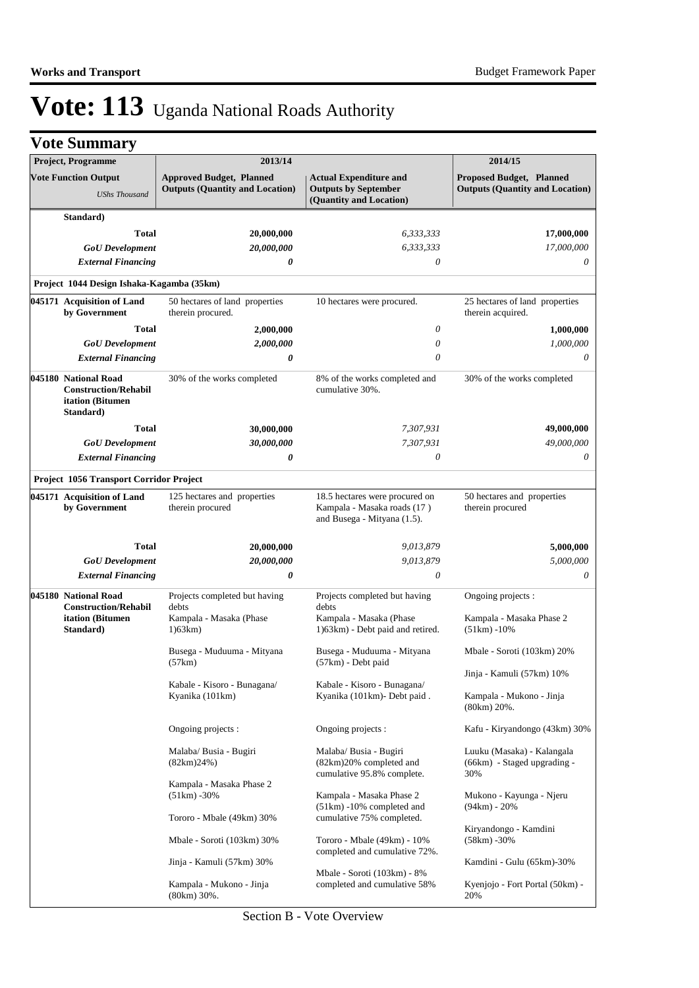| <b>Project, Programme</b>                                                            | 2013/14                                                                   |                                                                                              | 2014/15                                                                   |
|--------------------------------------------------------------------------------------|---------------------------------------------------------------------------|----------------------------------------------------------------------------------------------|---------------------------------------------------------------------------|
| <b>Vote Function Output</b><br><b>UShs Thousand</b>                                  | <b>Approved Budget, Planned</b><br><b>Outputs (Quantity and Location)</b> | <b>Actual Expenditure and</b><br><b>Outputs by September</b><br>(Quantity and Location)      | <b>Proposed Budget, Planned</b><br><b>Outputs (Quantity and Location)</b> |
| Standard)                                                                            |                                                                           |                                                                                              |                                                                           |
| Total                                                                                | 20,000,000                                                                | 6,333,333                                                                                    | 17,000,000                                                                |
| <b>GoU</b> Development                                                               | 20,000,000                                                                | 6,333,333                                                                                    | 17,000,000                                                                |
| <b>External Financing</b>                                                            | 0                                                                         | $\theta$                                                                                     | 0                                                                         |
| Project 1044 Design Ishaka-Kagamba (35km)                                            |                                                                           |                                                                                              |                                                                           |
| 045171 Acquisition of Land                                                           | 50 hectares of land properties                                            | 10 hectares were procured.                                                                   | 25 hectares of land properties                                            |
| by Government                                                                        | therein procured.                                                         |                                                                                              | therein acquired.                                                         |
| Total                                                                                | 2,000,000                                                                 | 0                                                                                            | 1,000,000                                                                 |
| <b>GoU</b> Development                                                               | 2,000,000                                                                 | 0                                                                                            | 1,000,000                                                                 |
| <b>External Financing</b>                                                            | 0                                                                         | 0                                                                                            | 0                                                                         |
| 045180 National Road<br><b>Construction/Rehabil</b><br>itation (Bitumen<br>Standard) | 30% of the works completed                                                | 8% of the works completed and<br>cumulative 30%.                                             | 30% of the works completed                                                |
| Total                                                                                | 30,000,000                                                                | 7,307,931                                                                                    | 49,000,000                                                                |
| <b>GoU</b> Development                                                               | 30,000,000                                                                | 7,307,931                                                                                    | 49,000,000                                                                |
| <b>External Financing</b>                                                            | 0                                                                         | 0                                                                                            | 0                                                                         |
| Project 1056 Transport Corridor Project                                              |                                                                           |                                                                                              |                                                                           |
| 045171 Acquisition of Land<br>by Government                                          | 125 hectares and properties<br>therein procured                           | 18.5 hectares were procured on<br>Kampala - Masaka roads (17)<br>and Busega - Mityana (1.5). | 50 hectares and properties<br>therein procured                            |
| <b>Total</b>                                                                         | 20,000,000                                                                | 9,013,879                                                                                    | 5,000,000                                                                 |
| <b>GoU</b> Development                                                               | 20,000,000                                                                | 9,013,879                                                                                    | 5,000,000                                                                 |
| <b>External Financing</b>                                                            | 0                                                                         | 0                                                                                            | 0                                                                         |
| 045180 National Road<br><b>Construction/Rehabil</b>                                  | Projects completed but having<br>debts                                    | Projects completed but having<br>debts                                                       | Ongoing projects :                                                        |
| itation (Bitumen<br>Standard)                                                        | Kampala - Masaka (Phase<br>1)63km                                         | Kampala - Masaka (Phase<br>1)63km) - Debt paid and retired.                                  | Kampala - Masaka Phase 2<br>$(51km) - 10%$                                |
|                                                                                      | Busega - Muduuma - Mityana<br>(57km)                                      | Busega - Muduuma - Mityana<br>(57km) - Debt paid                                             | Mbale - Soroti (103km) 20%                                                |
|                                                                                      |                                                                           |                                                                                              | Jinja - Kamuli (57km) 10%                                                 |
|                                                                                      | Kabale - Kisoro - Bunagana/<br>Kyanika (101km)                            | Kabale - Kisoro - Bunagana/<br>Kyanika (101km)- Debt paid.                                   | Kampala - Mukono - Jinja<br>$(80km) 20\%$ .                               |
|                                                                                      | Ongoing projects :                                                        | Ongoing projects:                                                                            | Kafu - Kiryandongo (43km) 30%                                             |
|                                                                                      | Malaba/ Busia - Bugiri<br>$(82km)24\%)$                                   | Malaba/ Busia - Bugiri<br>(82km)20% completed and<br>cumulative 95.8% complete.              | Luuku (Masaka) - Kalangala<br>(66km) - Staged upgrading -<br>30%          |
|                                                                                      | Kampala - Masaka Phase 2<br>$(51km) - 30\%$                               | Kampala - Masaka Phase 2<br>(51km) -10% completed and                                        | Mukono - Kayunga - Njeru<br>$(94km) - 20%$                                |
|                                                                                      | Tororo - Mbale (49km) 30%<br>Mbale - Soroti (103km) 30%                   | cumulative 75% completed.<br>Tororo - Mbale (49km) - 10%                                     | Kiryandongo - Kamdini<br>$(58km) - 30%$                                   |
|                                                                                      | Jinja - Kamuli (57km) 30%                                                 | completed and cumulative 72%.                                                                | Kamdini - Gulu (65km)-30%                                                 |
|                                                                                      | Kampala - Mukono - Jinja<br>(80km) 30%.                                   | Mbale - Soroti (103km) - 8%<br>completed and cumulative 58%                                  | Kyenjojo - Fort Portal (50km) -<br>20%                                    |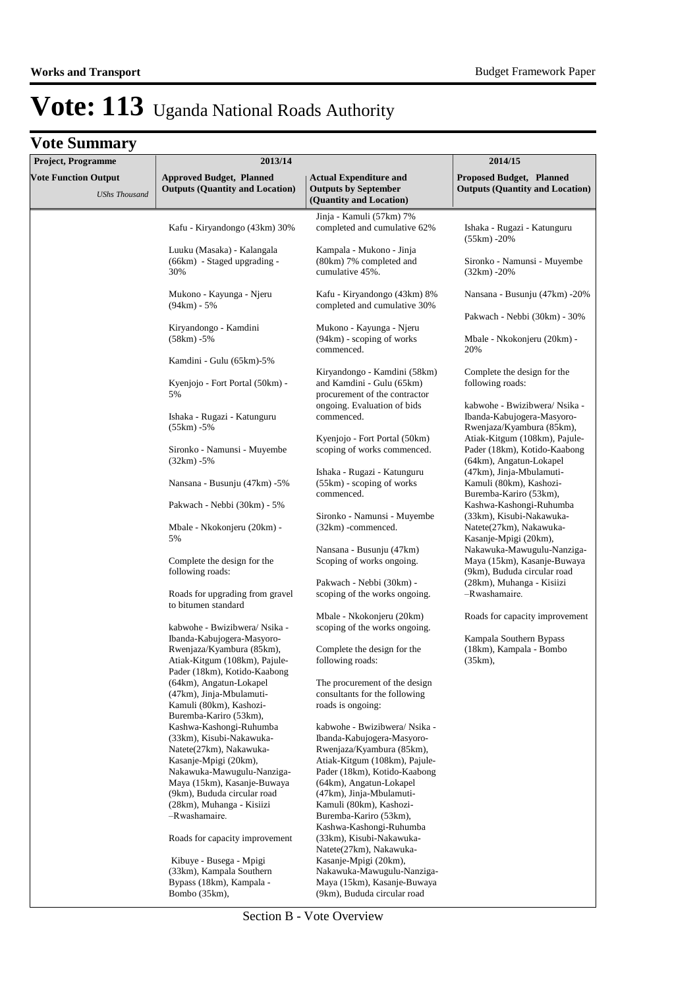### **Vote Summary**

| <b>Project, Programme</b>                           | 2013/14                                                                                                                                                                                                                                                                             |                                                                                                                                                                                                                                                                                                                              | 2014/15                                                                                                                   |
|-----------------------------------------------------|-------------------------------------------------------------------------------------------------------------------------------------------------------------------------------------------------------------------------------------------------------------------------------------|------------------------------------------------------------------------------------------------------------------------------------------------------------------------------------------------------------------------------------------------------------------------------------------------------------------------------|---------------------------------------------------------------------------------------------------------------------------|
| <b>Vote Function Output</b><br><b>UShs Thousand</b> | <b>Approved Budget, Planned</b><br><b>Outputs (Quantity and Location)</b>                                                                                                                                                                                                           | <b>Actual Expenditure and</b><br><b>Outputs by September</b><br>(Quantity and Location)                                                                                                                                                                                                                                      | <b>Proposed Budget, Planned</b><br><b>Outputs (Quantity and Location)</b>                                                 |
|                                                     | Kafu - Kiryandongo (43km) 30%                                                                                                                                                                                                                                                       | Jinja - Kamuli (57km) 7%<br>completed and cumulative 62%                                                                                                                                                                                                                                                                     | Ishaka - Rugazi - Katunguru<br>(55km) -20%                                                                                |
|                                                     | Luuku (Masaka) - Kalangala<br>(66km) - Staged upgrading -<br>30%                                                                                                                                                                                                                    | Kampala - Mukono - Jinja<br>(80km) 7% completed and<br>cumulative 45%.                                                                                                                                                                                                                                                       | Sironko - Namunsi - Muyembe<br>$(32km) - 20%$                                                                             |
|                                                     | Mukono - Kayunga - Njeru<br>$(94km) - 5%$                                                                                                                                                                                                                                           | Kafu - Kiryandongo (43km) 8%<br>completed and cumulative 30%                                                                                                                                                                                                                                                                 | Nansana - Busunju (47km) -20%                                                                                             |
|                                                     | Kiryandongo - Kamdini<br>$(58km) - 5%$                                                                                                                                                                                                                                              | Mukono - Kayunga - Njeru<br>$(94km)$ - scoping of works<br>commenced.                                                                                                                                                                                                                                                        | Pakwach - Nebbi (30km) - 30%<br>Mbale - Nkokonjeru (20km) -<br>20%                                                        |
|                                                     | Kamdini - Gulu (65km)-5%                                                                                                                                                                                                                                                            |                                                                                                                                                                                                                                                                                                                              |                                                                                                                           |
|                                                     | Kyenjojo - Fort Portal (50km) -<br>5%                                                                                                                                                                                                                                               | Kiryandongo - Kamdini (58km)<br>and Kamdini - Gulu (65km)<br>procurement of the contractor                                                                                                                                                                                                                                   | Complete the design for the<br>following roads:                                                                           |
|                                                     | Ishaka - Rugazi - Katunguru<br>$(55km) - 5%$                                                                                                                                                                                                                                        | ongoing. Evaluation of bids<br>commenced.<br>Kyenjojo - Fort Portal (50km)                                                                                                                                                                                                                                                   | kabwohe - Bwizibwera/ Nsika -<br>Ibanda-Kabujogera-Masyoro-<br>Rwenjaza/Kyambura (85km),<br>Atiak-Kitgum (108km), Pajule- |
|                                                     | Sironko - Namunsi - Muyembe<br>$(32km) - 5%$                                                                                                                                                                                                                                        | scoping of works commenced.                                                                                                                                                                                                                                                                                                  | Pader (18km), Kotido-Kaabong<br>(64km), Angatun-Lokapel                                                                   |
|                                                     | Nansana - Busunju (47km) -5%                                                                                                                                                                                                                                                        | Ishaka - Rugazi - Katunguru<br>$(55km)$ - scoping of works<br>commenced.                                                                                                                                                                                                                                                     | (47km), Jinja-Mbulamuti-<br>Kamuli (80km), Kashozi-<br>Buremba-Kariro (53km),                                             |
|                                                     | Pakwach - Nebbi (30km) - 5%                                                                                                                                                                                                                                                         | Sironko - Namunsi - Muyembe                                                                                                                                                                                                                                                                                                  | Kashwa-Kashongi-Ruhumba<br>(33km), Kisubi-Nakawuka-                                                                       |
|                                                     | Mbale - Nkokonjeru (20km) -<br>5%                                                                                                                                                                                                                                                   | $(32km)$ -commenced.                                                                                                                                                                                                                                                                                                         | Natete(27km), Nakawuka-<br>Kasanje-Mpigi (20km),                                                                          |
|                                                     | Complete the design for the<br>following roads:                                                                                                                                                                                                                                     | Nansana - Busunju (47km)<br>Scoping of works ongoing.                                                                                                                                                                                                                                                                        | Nakawuka-Mawugulu-Nanziga-<br>Maya (15km), Kasanje-Buwaya<br>(9km), Bududa circular road                                  |
|                                                     | Roads for upgrading from gravel<br>to bitumen standard                                                                                                                                                                                                                              | Pakwach - Nebbi (30km) -<br>scoping of the works ongoing.                                                                                                                                                                                                                                                                    | (28km), Muhanga - Kisiizi<br>-Rwashamaire.                                                                                |
|                                                     | kabwohe - Bwizibwera/ Nsika -                                                                                                                                                                                                                                                       | Mbale - Nkokonjeru (20km)<br>scoping of the works ongoing.                                                                                                                                                                                                                                                                   | Roads for capacity improvement                                                                                            |
|                                                     | Ibanda-Kabujogera-Masyoro-<br>Rwenjaza/Kyambura (85km),<br>Atiak-Kitgum (108km), Pajule-<br>Pader (18km), Kotido-Kaabong                                                                                                                                                            | Complete the design for the<br>following roads:                                                                                                                                                                                                                                                                              | Kampala Southern Bypass<br>(18km), Kampala - Bombo<br>$(35km)$ ,                                                          |
|                                                     | (64km), Angatun-Lokapel<br>(47km), Jinja-Mbulamuti-<br>Kamuli (80km), Kashozi-<br>Buremba-Kariro (53km),                                                                                                                                                                            | The procurement of the design<br>consultants for the following<br>roads is ongoing:                                                                                                                                                                                                                                          |                                                                                                                           |
|                                                     | Kashwa-Kashongi-Ruhumba<br>(33km), Kisubi-Nakawuka-<br>Natete(27km), Nakawuka-<br>Kasanje-Mpigi (20km),<br>Nakawuka-Mawugulu-Nanziga-<br>Maya (15km), Kasanje-Buwaya<br>(9km), Bududa circular road<br>(28km), Muhanga - Kisiizi<br>-Rwashamaire.<br>Roads for capacity improvement | kabwohe - Bwizibwera/ Nsika -<br>Ibanda-Kabujogera-Masyoro-<br>Rwenjaza/Kyambura (85km),<br>Atiak-Kitgum (108km), Pajule-<br>Pader (18km), Kotido-Kaabong<br>(64km), Angatun-Lokapel<br>(47km), Jinja-Mbulamuti-<br>Kamuli (80km), Kashozi-<br>Buremba-Kariro (53km),<br>Kashwa-Kashongi-Ruhumba<br>(33km), Kisubi-Nakawuka- |                                                                                                                           |
|                                                     | Kibuye - Busega - Mpigi<br>(33km), Kampala Southern<br>Bypass (18km), Kampala -<br>Bombo (35km),                                                                                                                                                                                    | Natete(27km), Nakawuka-<br>Kasanje-Mpigi (20km),<br>Nakawuka-Mawugulu-Nanziga-<br>Maya (15km), Kasanje-Buwaya<br>(9km), Bududa circular road                                                                                                                                                                                 |                                                                                                                           |

Section B - Vote Overview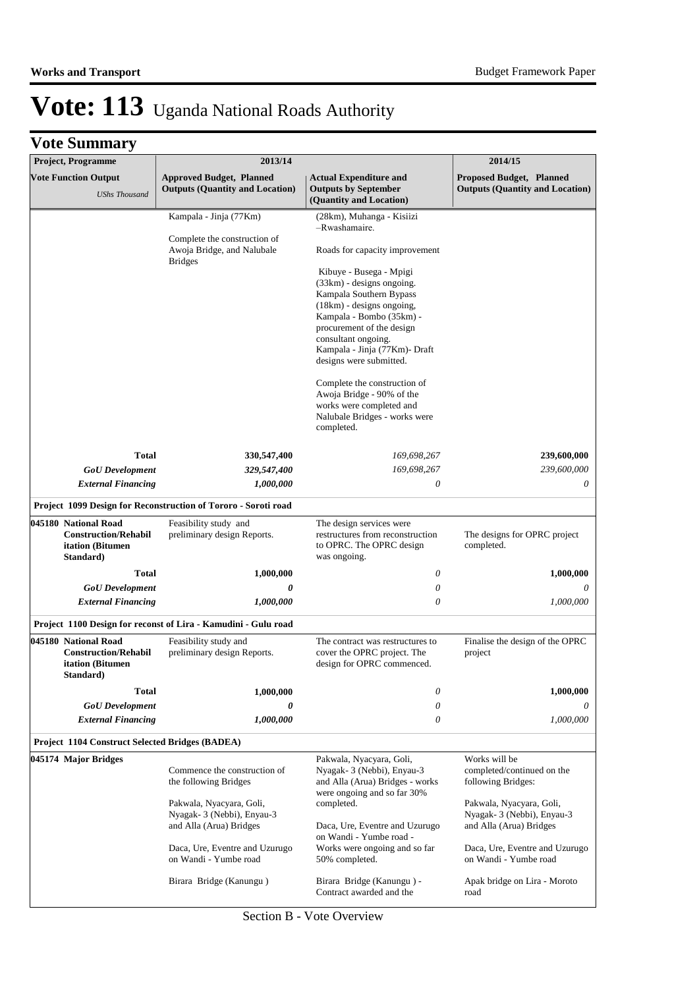| Project, Programme                                                                   | 2013/14                                                                          |                                                                                                                                                                                                                                                              | 2014/15                                                                          |
|--------------------------------------------------------------------------------------|----------------------------------------------------------------------------------|--------------------------------------------------------------------------------------------------------------------------------------------------------------------------------------------------------------------------------------------------------------|----------------------------------------------------------------------------------|
| <b>Vote Function Output</b><br><b>UShs Thousand</b>                                  | <b>Approved Budget, Planned</b><br><b>Outputs (Quantity and Location)</b>        | <b>Actual Expenditure and</b><br><b>Outputs by September</b><br>(Quantity and Location)                                                                                                                                                                      | Proposed Budget, Planned<br><b>Outputs (Quantity and Location)</b>               |
|                                                                                      | Kampala - Jinja (77Km)                                                           | (28km), Muhanga - Kisiizi                                                                                                                                                                                                                                    |                                                                                  |
|                                                                                      | Complete the construction of<br>Awoja Bridge, and Nalubale                       | -Rwashamaire.<br>Roads for capacity improvement                                                                                                                                                                                                              |                                                                                  |
|                                                                                      | <b>Bridges</b>                                                                   | Kibuye - Busega - Mpigi<br>$(33km)$ - designs ongoing.<br>Kampala Southern Bypass<br>$(18km)$ - designs ongoing,<br>Kampala - Bombo (35km) -<br>procurement of the design<br>consultant ongoing.<br>Kampala - Jinja (77Km)- Draft<br>designs were submitted. |                                                                                  |
|                                                                                      |                                                                                  | Complete the construction of<br>Awoja Bridge - 90% of the<br>works were completed and<br>Nalubale Bridges - works were<br>completed.                                                                                                                         |                                                                                  |
| <b>Total</b>                                                                         | 330,547,400                                                                      | 169,698,267                                                                                                                                                                                                                                                  | 239,600,000                                                                      |
| <b>GoU</b> Development                                                               | 329,547,400                                                                      | 169,698,267                                                                                                                                                                                                                                                  | 239,600,000                                                                      |
| <b>External Financing</b>                                                            | 1,000,000                                                                        | 0                                                                                                                                                                                                                                                            | 0                                                                                |
|                                                                                      | Project 1099 Design for Reconstruction of Tororo - Soroti road                   |                                                                                                                                                                                                                                                              |                                                                                  |
| 045180 National Road<br><b>Construction/Rehabil</b><br>itation (Bitumen<br>Standard) | Feasibility study and<br>preliminary design Reports.                             | The design services were<br>restructures from reconstruction<br>to OPRC. The OPRC design<br>was ongoing.                                                                                                                                                     | The designs for OPRC project<br>completed.                                       |
| Total                                                                                | 1,000,000                                                                        | 0                                                                                                                                                                                                                                                            | 1,000,000                                                                        |
| <b>GoU</b> Development                                                               | 0                                                                                | 0                                                                                                                                                                                                                                                            | 0                                                                                |
| <b>External Financing</b>                                                            | 1,000,000                                                                        | $\theta$                                                                                                                                                                                                                                                     | 1,000,000                                                                        |
|                                                                                      | Project 1100 Design for reconst of Lira - Kamudini - Gulu road                   |                                                                                                                                                                                                                                                              |                                                                                  |
| 045180 National Road<br><b>Construction/Rehabil</b><br>itation (Bitumen<br>Standard) | Feasibility study and<br>preliminary design Reports.                             | The contract was restructures to<br>cover the OPRC project. The<br>design for OPRC commenced.                                                                                                                                                                | Finalise the design of the OPRC<br>project                                       |
| Total                                                                                | 1,000,000                                                                        | 0                                                                                                                                                                                                                                                            | 1,000,000                                                                        |
| <b>GoU</b> Development                                                               | 0                                                                                | 0                                                                                                                                                                                                                                                            |                                                                                  |
| <b>External Financing</b>                                                            | 1,000,000                                                                        | 0                                                                                                                                                                                                                                                            | 1,000,000                                                                        |
| Project 1104 Construct Selected Bridges (BADEA)                                      |                                                                                  |                                                                                                                                                                                                                                                              |                                                                                  |
| 045174 Major Bridges                                                                 | Commence the construction of<br>the following Bridges                            | Pakwala, Nyacyara, Goli,<br>Nyagak-3 (Nebbi), Enyau-3<br>and Alla (Arua) Bridges - works<br>were ongoing and so far 30%                                                                                                                                      | Works will be<br>completed/continued on the<br>following Bridges:                |
|                                                                                      | Pakwala, Nyacyara, Goli,<br>Nyagak-3 (Nebbi), Enyau-3<br>and Alla (Arua) Bridges | completed.<br>Daca, Ure, Eventre and Uzurugo                                                                                                                                                                                                                 | Pakwala, Nyacyara, Goli,<br>Nyagak-3 (Nebbi), Enyau-3<br>and Alla (Arua) Bridges |
|                                                                                      | Daca, Ure, Eventre and Uzurugo<br>on Wandi - Yumbe road                          | on Wandi - Yumbe road -<br>Works were ongoing and so far<br>50% completed.                                                                                                                                                                                   | Daca, Ure, Eventre and Uzurugo<br>on Wandi - Yumbe road                          |
|                                                                                      | Birara Bridge (Kanungu)                                                          | Birara Bridge (Kanungu) -<br>Contract awarded and the                                                                                                                                                                                                        | Apak bridge on Lira - Moroto<br>road                                             |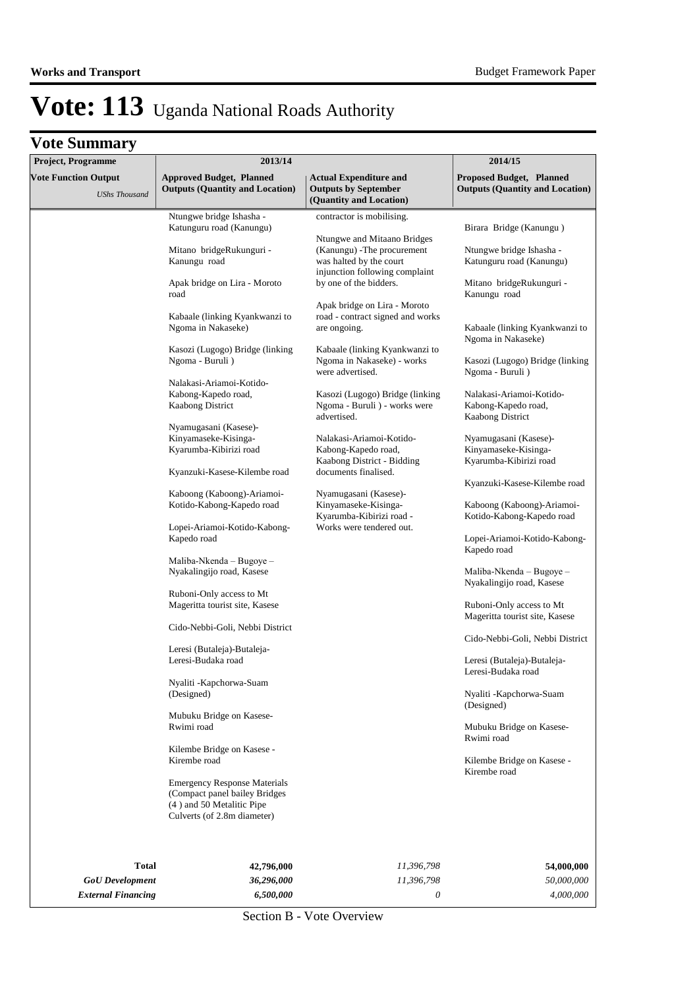| Project, Programme                                  | 2013/14                                                                                                                          |                                                                                         | 2014/15                                                                 |
|-----------------------------------------------------|----------------------------------------------------------------------------------------------------------------------------------|-----------------------------------------------------------------------------------------|-------------------------------------------------------------------------|
| <b>Vote Function Output</b><br><b>UShs Thousand</b> | <b>Approved Budget, Planned</b><br><b>Outputs (Quantity and Location)</b>                                                        | <b>Actual Expenditure and</b><br><b>Outputs by September</b><br>(Quantity and Location) | Proposed Budget, Planned<br><b>Outputs (Quantity and Location)</b>      |
|                                                     | Ntungwe bridge Ishasha -<br>Katunguru road (Kanungu)                                                                             | contractor is mobilising.                                                               | Birara Bridge (Kanungu)                                                 |
|                                                     | Mitano bridgeRukunguri -<br>Kanungu road                                                                                         | Ntungwe and Mitaano Bridges<br>(Kanungu) - The procurement<br>was halted by the court   | Ntungwe bridge Ishasha -<br>Katunguru road (Kanungu)                    |
|                                                     | Apak bridge on Lira - Moroto<br>road                                                                                             | injunction following complaint<br>by one of the bidders.                                | Mitano bridgeRukunguri -<br>Kanungu road                                |
|                                                     | Kabaale (linking Kyankwanzi to<br>Ngoma in Nakaseke)                                                                             | Apak bridge on Lira - Moroto<br>road - contract signed and works<br>are ongoing.        | Kabaale (linking Kyankwanzi to<br>Ngoma in Nakaseke)                    |
|                                                     | Kasozi (Lugogo) Bridge (linking<br>Ngoma - Buruli)                                                                               | Kabaale (linking Kyankwanzi to<br>Ngoma in Nakaseke) - works<br>were advertised.        | Kasozi (Lugogo) Bridge (linking<br>Ngoma - Buruli)                      |
|                                                     | Nalakasi-Ariamoi-Kotido-<br>Kabong-Kapedo road,<br>Kaabong District                                                              | Kasozi (Lugogo) Bridge (linking<br>Ngoma - Buruli ) - works were<br>advertised.         | Nalakasi-Ariamoi-Kotido-<br>Kabong-Kapedo road,<br>Kaabong District     |
|                                                     | Nyamugasani (Kasese)-<br>Kinyamaseke-Kisinga-<br>Kyarumba-Kibirizi road                                                          | Nalakasi-Ariamoi-Kotido-<br>Kabong-Kapedo road,<br>Kaabong District - Bidding           | Nyamugasani (Kasese)-<br>Kinyamaseke-Kisinga-<br>Kyarumba-Kibirizi road |
|                                                     | Kyanzuki-Kasese-Kilembe road                                                                                                     | documents finalised.                                                                    | Kyanzuki-Kasese-Kilembe road                                            |
|                                                     | Kaboong (Kaboong)-Ariamoi-<br>Kotido-Kabong-Kapedo road                                                                          | Nyamugasani (Kasese)-<br>Kinyamaseke-Kisinga-<br>Kyarumba-Kibirizi road -               | Kaboong (Kaboong)-Ariamoi-<br>Kotido-Kabong-Kapedo road                 |
|                                                     | Lopei-Ariamoi-Kotido-Kabong-<br>Kapedo road                                                                                      | Works were tendered out.                                                                | Lopei-Ariamoi-Kotido-Kabong-<br>Kapedo road                             |
|                                                     | Maliba-Nkenda – Bugoye –<br>Nyakalingijo road, Kasese                                                                            |                                                                                         | Maliba-Nkenda $-$ Bugoye $-$<br>Nyakalingijo road, Kasese               |
|                                                     | Ruboni-Only access to Mt<br>Mageritta tourist site, Kasese                                                                       |                                                                                         | Ruboni-Only access to Mt<br>Mageritta tourist site, Kasese              |
|                                                     | Cido-Nebbi-Goli, Nebbi District                                                                                                  |                                                                                         | Cido-Nebbi-Goli, Nebbi District                                         |
|                                                     | Leresi (Butaleja)-Butaleja-<br>Leresi-Budaka road                                                                                |                                                                                         | Leresi (Butaleja)-Butaleja-<br>Leresi-Budaka road                       |
|                                                     | Nyaliti -Kapchorwa-Suam<br>(Designed)                                                                                            |                                                                                         | Nyaliti -Kapchorwa-Suam<br>(Designed)                                   |
|                                                     | Mubuku Bridge on Kasese-<br>Rwimi road                                                                                           |                                                                                         | Mubuku Bridge on Kasese-<br>Rwimi road                                  |
|                                                     | Kilembe Bridge on Kasese -<br>Kirembe road                                                                                       |                                                                                         | Kilembe Bridge on Kasese -<br>Kirembe road                              |
|                                                     | <b>Emergency Response Materials</b><br>(Compact panel bailey Bridges<br>(4) and 50 Metalitic Pipe<br>Culverts (of 2.8m diameter) |                                                                                         |                                                                         |
| Total                                               | 42,796,000                                                                                                                       | 11,396,798                                                                              | 54,000,000                                                              |
| <b>GoU</b> Development                              | 36,296,000                                                                                                                       | 11,396,798                                                                              | 50,000,000                                                              |
| <b>External Financing</b>                           | 6,500,000                                                                                                                        | 0                                                                                       | 4,000,000                                                               |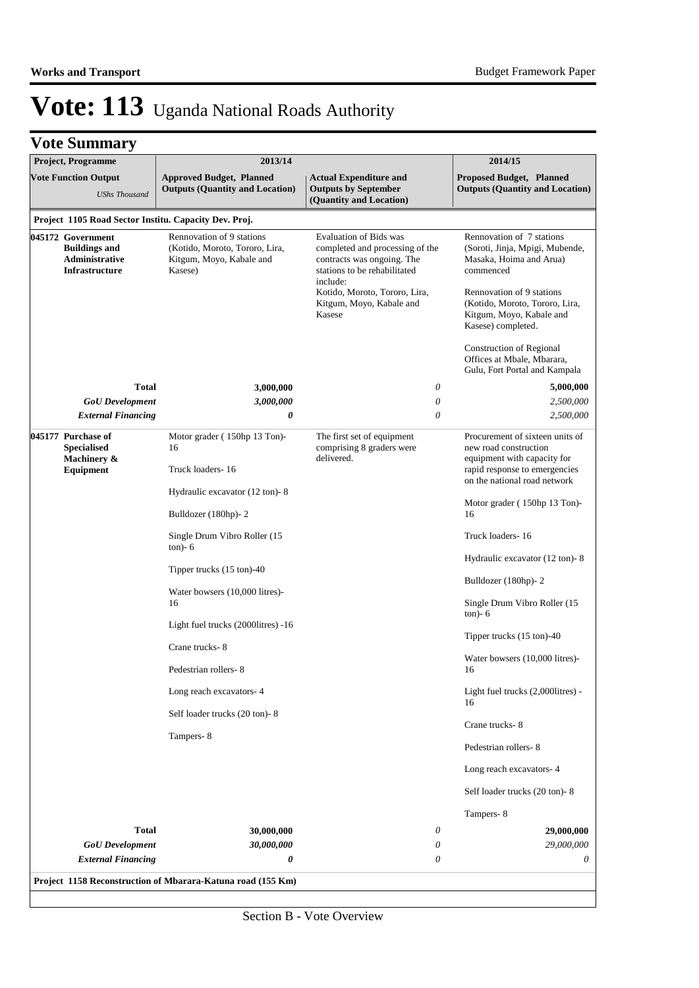|  | <b>Vote Summary</b> |  |
|--|---------------------|--|
|--|---------------------|--|

| Project, Programme |                                                                                      | 2013/14                                                                                            |                                                                                                                                                                                                                   | 2014/15                                                                                                                                                                                                               |
|--------------------|--------------------------------------------------------------------------------------|----------------------------------------------------------------------------------------------------|-------------------------------------------------------------------------------------------------------------------------------------------------------------------------------------------------------------------|-----------------------------------------------------------------------------------------------------------------------------------------------------------------------------------------------------------------------|
|                    | <b>Vote Function Output</b><br><b>UShs Thousand</b>                                  | <b>Approved Budget, Planned</b><br><b>Outputs (Quantity and Location)</b>                          | <b>Actual Expenditure and</b><br><b>Outputs by September</b><br>(Quantity and Location)                                                                                                                           | Proposed Budget, Planned<br><b>Outputs (Quantity and Location)</b>                                                                                                                                                    |
|                    |                                                                                      | Project 1105 Road Sector Institu. Capacity Dev. Proj.                                              |                                                                                                                                                                                                                   |                                                                                                                                                                                                                       |
|                    | 045172 Government<br><b>Buildings and</b><br>Administrative<br><b>Infrastructure</b> | Rennovation of 9 stations<br>(Kotido, Moroto, Tororo, Lira,<br>Kitgum, Moyo, Kabale and<br>Kasese) | <b>Evaluation of Bids was</b><br>completed and processing of the<br>contracts was ongoing. The<br>stations to be rehabilitated<br>include:<br>Kotido, Moroto, Tororo, Lira,<br>Kitgum, Moyo, Kabale and<br>Kasese | Rennovation of 7 stations<br>(Soroti, Jinja, Mpigi, Mubende,<br>Masaka, Hoima and Arua)<br>commenced<br>Rennovation of 9 stations<br>(Kotido, Moroto, Tororo, Lira,<br>Kitgum, Moyo, Kabale and<br>Kasese) completed. |
|                    |                                                                                      |                                                                                                    |                                                                                                                                                                                                                   | Construction of Regional<br>Offices at Mbale, Mbarara,<br>Gulu, Fort Portal and Kampala                                                                                                                               |
|                    | <b>Total</b>                                                                         | 3,000,000                                                                                          | $\boldsymbol{\mathit{0}}$                                                                                                                                                                                         | 5,000,000                                                                                                                                                                                                             |
|                    | <b>GoU</b> Development                                                               | 3,000,000                                                                                          | $\boldsymbol{\mathit{0}}$                                                                                                                                                                                         | 2,500,000                                                                                                                                                                                                             |
|                    | <b>External Financing</b>                                                            | 0                                                                                                  | $\theta$                                                                                                                                                                                                          | 2,500,000                                                                                                                                                                                                             |
| 045177 Purchase of | <b>Specialised</b><br>Machinery &<br>Equipment                                       | Motor grader (150hp 13 Ton)-<br>16<br>Truck loaders-16                                             | The first set of equipment<br>comprising 8 graders were<br>delivered.                                                                                                                                             | Procurement of sixteen units of<br>new road construction<br>equipment with capacity for<br>rapid response to emergencies<br>on the national road network                                                              |
|                    |                                                                                      | Hydraulic excavator (12 ton)-8                                                                     |                                                                                                                                                                                                                   |                                                                                                                                                                                                                       |
|                    |                                                                                      | Bulldozer (180hp)-2                                                                                |                                                                                                                                                                                                                   | Motor grader (150hp 13 Ton)-<br>16                                                                                                                                                                                    |
|                    |                                                                                      | Single Drum Vibro Roller (15<br>$ton) - 6$                                                         |                                                                                                                                                                                                                   | Truck loaders-16                                                                                                                                                                                                      |
|                    |                                                                                      | Tipper trucks $(15 \text{ ton})-40$                                                                |                                                                                                                                                                                                                   | Hydraulic excavator (12 ton)-8<br>Bulldozer (180hp)-2                                                                                                                                                                 |
|                    |                                                                                      | Water bowsers (10,000 litres)-<br>16                                                               |                                                                                                                                                                                                                   | Single Drum Vibro Roller (15<br>$ton) - 6$                                                                                                                                                                            |
|                    |                                                                                      | Light fuel trucks (2000 litres) -16                                                                |                                                                                                                                                                                                                   | Tipper trucks (15 ton)-40                                                                                                                                                                                             |
|                    |                                                                                      | Crane trucks-8<br>Pedestrian rollers-8                                                             |                                                                                                                                                                                                                   | Water bowsers (10,000 litres)-<br>16                                                                                                                                                                                  |
|                    |                                                                                      | Long reach excavators-4                                                                            |                                                                                                                                                                                                                   | Light fuel trucks (2,000litres) -<br>16                                                                                                                                                                               |
|                    |                                                                                      | Self loader trucks (20 ton)-8<br>Tampers-8                                                         |                                                                                                                                                                                                                   | Crane trucks-8                                                                                                                                                                                                        |
|                    |                                                                                      |                                                                                                    |                                                                                                                                                                                                                   | Pedestrian rollers-8                                                                                                                                                                                                  |
|                    |                                                                                      |                                                                                                    |                                                                                                                                                                                                                   | Long reach excavators-4                                                                                                                                                                                               |
|                    |                                                                                      |                                                                                                    |                                                                                                                                                                                                                   | Self loader trucks (20 ton)-8                                                                                                                                                                                         |
|                    | <b>Total</b>                                                                         |                                                                                                    | 0                                                                                                                                                                                                                 | Tampers-8                                                                                                                                                                                                             |
|                    | <b>GoU</b> Development                                                               | 30,000,000<br>30,000,000                                                                           | 0                                                                                                                                                                                                                 | 29,000,000<br>29,000,000                                                                                                                                                                                              |
|                    | <b>External Financing</b>                                                            | 0                                                                                                  | 0                                                                                                                                                                                                                 | 0                                                                                                                                                                                                                     |
|                    |                                                                                      | Project 1158 Reconstruction of Mbarara-Katuna road (155 Km)                                        |                                                                                                                                                                                                                   |                                                                                                                                                                                                                       |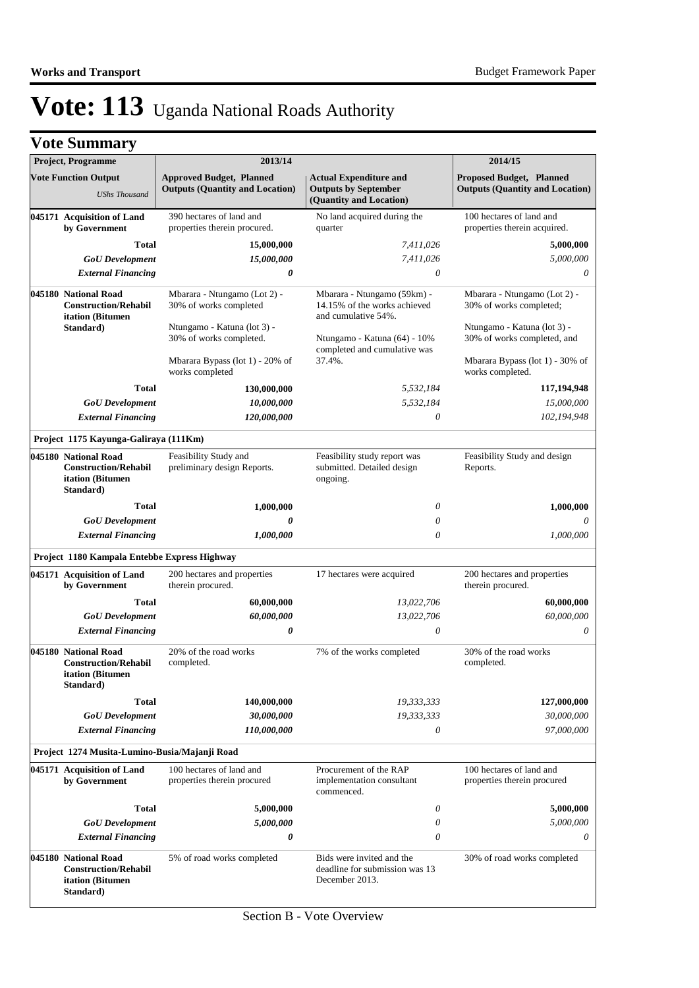| <b>Project, Programme</b><br><b>Vote Function Output</b><br><b>UShs Thousand</b> |                                                                                                                    | 2013/14                                                                       | 2014/15                                                                                 |                                                                           |
|----------------------------------------------------------------------------------|--------------------------------------------------------------------------------------------------------------------|-------------------------------------------------------------------------------|-----------------------------------------------------------------------------------------|---------------------------------------------------------------------------|
|                                                                                  |                                                                                                                    | <b>Approved Budget, Planned</b><br><b>Outputs (Quantity and Location)</b>     | <b>Actual Expenditure and</b><br><b>Outputs by September</b><br>(Quantity and Location) | <b>Proposed Budget, Planned</b><br><b>Outputs (Quantity and Location)</b> |
|                                                                                  | 045171 Acquisition of Land<br>by Government                                                                        | 390 hectares of land and<br>properties therein procured.                      | No land acquired during the<br>quarter                                                  | 100 hectares of land and<br>properties therein acquired.                  |
|                                                                                  | <b>Total</b>                                                                                                       | 15,000,000                                                                    | 7,411,026                                                                               | 5,000,000                                                                 |
|                                                                                  | <b>GoU</b> Development                                                                                             | 15,000,000                                                                    | 7,411,026                                                                               | 5,000,000                                                                 |
|                                                                                  | <b>External Financing</b>                                                                                          | 0                                                                             | $\theta$                                                                                | $\theta$                                                                  |
|                                                                                  | 045180 National Road<br><b>Construction/Rehabil</b><br>itation (Bitumen                                            | Mbarara - Ntungamo (Lot 2) -<br>30% of works completed                        | Mbarara - Ntungamo (59km) -<br>14.15% of the works achieved<br>and cumulative 54%.      | Mbarara - Ntungamo (Lot 2) -<br>30% of works completed;                   |
|                                                                                  | Standard)                                                                                                          | Ntungamo - Katuna (lot 3) -<br>30% of works completed.                        | Ntungamo - Katuna (64) - 10%<br>completed and cumulative was                            | Ntungamo - Katuna (lot 3) -<br>30% of works completed, and                |
|                                                                                  |                                                                                                                    | Mbarara Bypass (lot 1) - 20% of<br>works completed                            | 37.4%.                                                                                  | Mbarara Bypass (lot 1) - 30% of<br>works completed.                       |
|                                                                                  | <b>Total</b>                                                                                                       | 130,000,000                                                                   | 5,532,184                                                                               | 117,194,948                                                               |
|                                                                                  | <b>GoU</b> Development                                                                                             | 10,000,000                                                                    | 5,532,184                                                                               | 15,000,000                                                                |
|                                                                                  | <b>External Financing</b>                                                                                          | <i>120,000,000</i>                                                            | $\theta$                                                                                | 102,194,948                                                               |
|                                                                                  | Project 1175 Kayunga-Galiraya (111Km)                                                                              |                                                                               |                                                                                         |                                                                           |
|                                                                                  | 045180 National Road<br><b>Construction/Rehabil</b><br>itation (Bitumen<br>Standard)                               | Feasibility Study and<br>preliminary design Reports.                          | Feasibility study report was<br>submitted. Detailed design<br>ongoing.                  | Feasibility Study and design<br>Reports.                                  |
|                                                                                  | <b>Total</b>                                                                                                       | 1,000,000                                                                     | 0                                                                                       | 1,000,000                                                                 |
|                                                                                  | <b>GoU</b> Development                                                                                             | $\boldsymbol{\theta}$                                                         | 0                                                                                       | 0                                                                         |
|                                                                                  | <b>External Financing</b>                                                                                          | 1,000,000                                                                     | $\theta$                                                                                | 1,000,000                                                                 |
|                                                                                  | Project 1180 Kampala Entebbe Express Highway                                                                       |                                                                               |                                                                                         |                                                                           |
|                                                                                  | 045171 Acquisition of Land<br>by Government                                                                        | 200 hectares and properties<br>17 hectares were acquired<br>therein procured. |                                                                                         | 200 hectares and properties<br>therein procured.                          |
|                                                                                  | <b>Total</b>                                                                                                       | 60,000,000                                                                    | 13,022,706                                                                              | 60,000,000                                                                |
|                                                                                  | <b>GoU</b> Development                                                                                             | 60,000,000                                                                    | 13,022,706                                                                              | 60,000,000                                                                |
|                                                                                  | <b>External Financing</b>                                                                                          | 0                                                                             | $\boldsymbol{\mathit{0}}$                                                               | $\theta$                                                                  |
|                                                                                  | 045180 National Road<br><b>Construction/Rehabil</b><br><i>itation</i> (Bitumen)<br>Standard)                       | 20% of the road works<br>completed.                                           | 7% of the works completed                                                               | 30% of the road works<br>completed.                                       |
|                                                                                  | Total                                                                                                              | 140,000,000                                                                   | 19,333,333                                                                              | 127,000,000                                                               |
|                                                                                  | <b>GoU</b> Development                                                                                             | 30,000,000                                                                    | 19,333,333                                                                              | 30,000,000                                                                |
|                                                                                  | <b>External Financing</b>                                                                                          | 110,000,000                                                                   | $\theta$                                                                                | 97,000,000                                                                |
|                                                                                  | Project 1274 Musita-Lumino-Busia/Majanji Road                                                                      |                                                                               |                                                                                         |                                                                           |
|                                                                                  | 045171 Acquisition of Land<br>by Government                                                                        | 100 hectares of land and<br>properties therein procured                       | Procurement of the RAP<br>implementation consultant<br>commenced.                       | 100 hectares of land and<br>properties therein procured                   |
|                                                                                  | <b>Total</b>                                                                                                       | 5,000,000                                                                     | 0                                                                                       | 5,000,000                                                                 |
|                                                                                  | <b>GoU</b> Development                                                                                             | 5,000,000                                                                     | 0                                                                                       | 5,000,000                                                                 |
|                                                                                  | <b>External Financing</b>                                                                                          | 0                                                                             | $\theta$                                                                                | 0                                                                         |
|                                                                                  | 045180 National Road<br>5% of road works completed<br><b>Construction/Rehabil</b><br>itation (Bitumen<br>Standard) |                                                                               | Bids were invited and the<br>deadline for submission was 13<br>December 2013.           | 30% of road works completed                                               |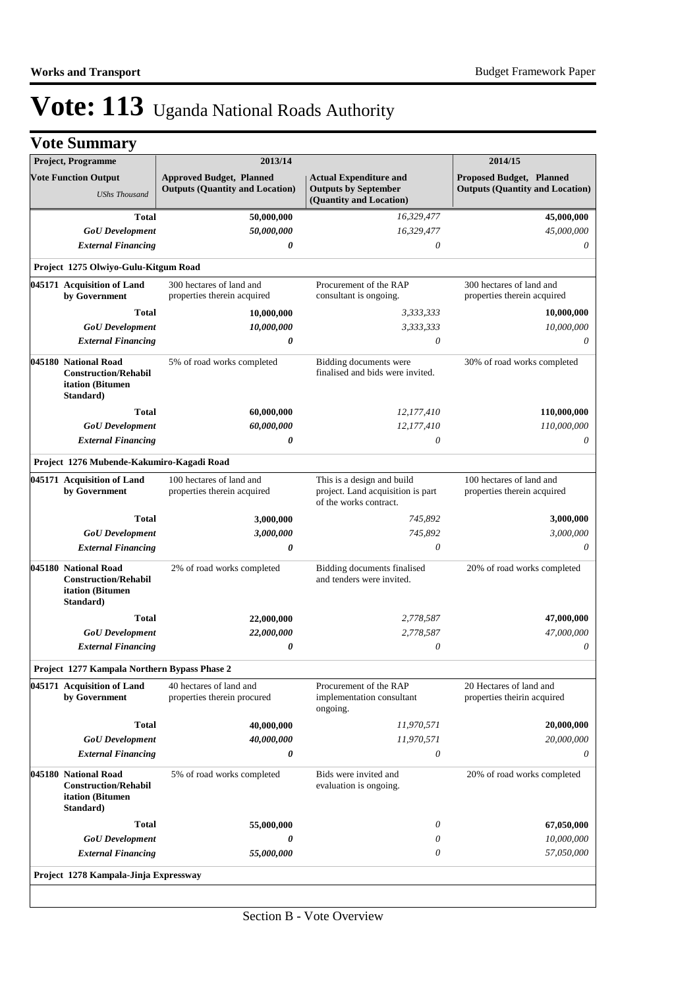| <b>Project, Programme</b>                                                            | 2013/14                                                                   |                                                                                           | 2014/15                                                                   |
|--------------------------------------------------------------------------------------|---------------------------------------------------------------------------|-------------------------------------------------------------------------------------------|---------------------------------------------------------------------------|
| <b>Vote Function Output</b><br><b>UShs Thousand</b>                                  | <b>Approved Budget, Planned</b><br><b>Outputs (Quantity and Location)</b> | <b>Actual Expenditure and</b><br><b>Outputs by September</b>                              | <b>Proposed Budget, Planned</b><br><b>Outputs (Quantity and Location)</b> |
|                                                                                      |                                                                           | (Quantity and Location)                                                                   |                                                                           |
| <b>Total</b>                                                                         | 50,000,000                                                                | 16,329,477                                                                                | 45,000,000                                                                |
| <b>GoU</b> Development                                                               | 50,000,000                                                                | 16,329,477                                                                                | 45,000,000                                                                |
| <b>External Financing</b>                                                            | 0                                                                         | $\theta$                                                                                  | $\theta$                                                                  |
| Project 1275 Olwiyo-Gulu-Kitgum Road                                                 |                                                                           |                                                                                           |                                                                           |
| 045171 Acquisition of Land<br>by Government                                          | 300 hectares of land and<br>properties therein acquired                   | Procurement of the RAP<br>consultant is ongoing.                                          | 300 hectares of land and<br>properties therein acquired                   |
| <b>Total</b>                                                                         | 10,000,000                                                                | 3,333,333                                                                                 | 10,000,000                                                                |
| <b>GoU</b> Development                                                               | 10,000,000                                                                | 3,333,333                                                                                 | 10,000,000                                                                |
| <b>External Financing</b>                                                            | 0                                                                         | $\theta$                                                                                  | $\theta$                                                                  |
| 045180 National Road<br><b>Construction/Rehabil</b><br>itation (Bitumen<br>Standard) | 5% of road works completed                                                | Bidding documents were<br>finalised and bids were invited.                                | 30% of road works completed                                               |
| Total                                                                                | 60,000,000                                                                | 12,177,410                                                                                | 110,000,000                                                               |
| <b>GoU</b> Development                                                               | 60,000,000                                                                | 12,177,410                                                                                | 110,000,000                                                               |
| <b>External Financing</b>                                                            | 0                                                                         | $\theta$                                                                                  | $\theta$                                                                  |
| Project 1276 Mubende-Kakumiro-Kagadi Road                                            |                                                                           |                                                                                           |                                                                           |
| 045171 Acquisition of Land<br>by Government                                          | 100 hectares of land and<br>properties therein acquired                   | This is a design and build<br>project. Land acquisition is part<br>of the works contract. | 100 hectares of land and<br>properties therein acquired                   |
| <b>Total</b>                                                                         | 3,000,000                                                                 | 745,892                                                                                   | 3,000,000                                                                 |
| <b>GoU</b> Development                                                               | 3,000,000                                                                 | 745,892                                                                                   | 3,000,000                                                                 |
| <b>External Financing</b>                                                            | 0                                                                         | $\theta$                                                                                  | $\theta$                                                                  |
| 045180 National Road<br><b>Construction/Rehabil</b><br>itation (Bitumen<br>Standard) | 2% of road works completed                                                | Bidding documents finalised<br>and tenders were invited.                                  | 20% of road works completed                                               |
| <b>Total</b>                                                                         | 22,000,000                                                                | 2,778,587                                                                                 | 47,000,000                                                                |
| <b>GoU</b> Development                                                               | 22,000,000                                                                | 2,778,587                                                                                 | 47,000,000                                                                |
| <b>External Financing</b>                                                            | 0                                                                         | $\theta$                                                                                  | 0                                                                         |
| Project 1277 Kampala Northern Bypass Phase 2                                         |                                                                           |                                                                                           |                                                                           |
| 045171 Acquisition of Land<br>by Government                                          | 40 hectares of land and<br>properties therein procured                    | Procurement of the RAP<br>implementation consultant<br>ongoing.                           | 20 Hectares of land and<br>properties theirin acquired                    |
| <b>Total</b>                                                                         | 40,000,000                                                                | 11,970,571                                                                                | 20,000,000                                                                |
| <b>GoU</b> Development                                                               | 40,000,000                                                                | 11,970,571                                                                                | 20,000,000                                                                |
| <b>External Financing</b>                                                            | 0                                                                         | $\boldsymbol{\mathit{0}}$                                                                 | $\theta$                                                                  |
| 045180 National Road<br><b>Construction/Rehabil</b><br>itation (Bitumen<br>Standard) | 5% of road works completed                                                | Bids were invited and<br>evaluation is ongoing.                                           | 20% of road works completed                                               |
| <b>Total</b>                                                                         | 55,000,000                                                                | $\theta$                                                                                  | 67,050,000                                                                |
| <b>GoU</b> Development                                                               | 0                                                                         | 0                                                                                         | 10,000,000                                                                |
| <b>External Financing</b>                                                            | 55,000,000                                                                | $\theta$                                                                                  | 57,050,000                                                                |
|                                                                                      | Project 1278 Kampala-Jinja Expressway                                     |                                                                                           |                                                                           |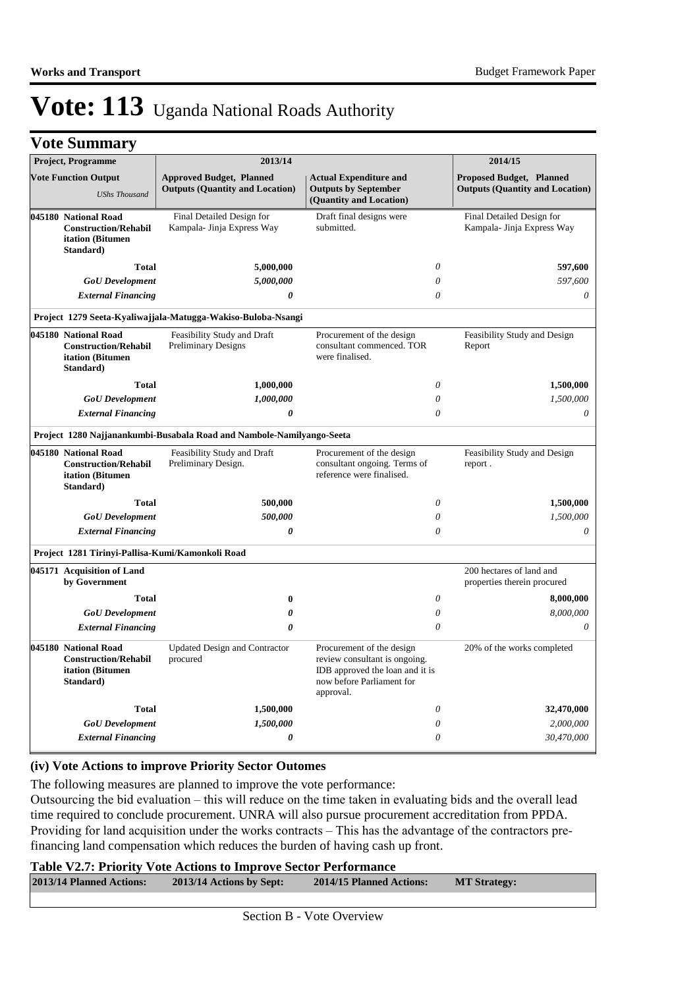|  | <b>Vote Summary</b> |  |
|--|---------------------|--|
|--|---------------------|--|

| Project, Programme                                                                                                                              |                                                              | 2013/14                                                                   | 2014/15                                                                                                                                 |                                                                           |  |
|-------------------------------------------------------------------------------------------------------------------------------------------------|--------------------------------------------------------------|---------------------------------------------------------------------------|-----------------------------------------------------------------------------------------------------------------------------------------|---------------------------------------------------------------------------|--|
| <b>Vote Function Output</b><br><b>UShs Thousand</b>                                                                                             |                                                              | <b>Approved Budget, Planned</b><br><b>Outputs (Quantity and Location)</b> | <b>Actual Expenditure and</b><br><b>Outputs by September</b><br>(Quantity and Location)                                                 | <b>Proposed Budget, Planned</b><br><b>Outputs (Quantity and Location)</b> |  |
| Final Detailed Design for<br>045180 National Road<br>Kampala- Jinja Express Way<br><b>Construction/Rehabil</b><br>itation (Bitumen<br>Standard) |                                                              | Draft final designs were<br>submitted.                                    | Final Detailed Design for<br>Kampala- Jinja Express Way                                                                                 |                                                                           |  |
|                                                                                                                                                 | <b>Total</b>                                                 | 5,000,000                                                                 | $\theta$                                                                                                                                | 597,600                                                                   |  |
|                                                                                                                                                 | <b>GoU</b> Development                                       | 5,000,000                                                                 | $\theta$                                                                                                                                | 597,600                                                                   |  |
|                                                                                                                                                 | <b>External Financing</b>                                    | $\boldsymbol{\theta}$                                                     | $\theta$                                                                                                                                | $\theta$                                                                  |  |
|                                                                                                                                                 |                                                              | Project 1279 Seeta-Kyaliwajjala-Matugga-Wakiso-Buloba-Nsangi              |                                                                                                                                         |                                                                           |  |
| 045180 National Road                                                                                                                            | <b>Construction/Rehabil</b><br>itation (Bitumen<br>Standard) | Feasibility Study and Draft<br><b>Preliminary Designs</b>                 | Procurement of the design<br>consultant commenced. TOR<br>were finalised.                                                               | Feasibility Study and Design<br>Report                                    |  |
|                                                                                                                                                 | <b>Total</b>                                                 | 1,000,000                                                                 | $\theta$                                                                                                                                | 1,500,000                                                                 |  |
|                                                                                                                                                 | <b>GoU</b> Development                                       | 1,000,000                                                                 | $\theta$                                                                                                                                | 1,500,000                                                                 |  |
| <b>External Financing</b><br>0                                                                                                                  |                                                              |                                                                           | $\theta$                                                                                                                                |                                                                           |  |
|                                                                                                                                                 |                                                              | Project 1280 Najjanankumbi-Busabala Road and Nambole-Namilyango-Seeta     |                                                                                                                                         |                                                                           |  |
| 045180 National Road                                                                                                                            | <b>Construction/Rehabil</b><br>itation (Bitumen<br>Standard) | Feasibility Study and Draft<br>Preliminary Design.                        | Procurement of the design<br>consultant ongoing. Terms of<br>reference were finalised.                                                  | Feasibility Study and Design<br>report.                                   |  |
|                                                                                                                                                 | <b>Total</b>                                                 | 500,000                                                                   | $\theta$                                                                                                                                | 1,500,000                                                                 |  |
|                                                                                                                                                 | <b>GoU</b> Development                                       | 500,000                                                                   | $\theta$                                                                                                                                | 1,500,000                                                                 |  |
| <b>External Financing</b>                                                                                                                       |                                                              | $\boldsymbol{\theta}$                                                     | $\theta$                                                                                                                                | $\theta$                                                                  |  |
|                                                                                                                                                 |                                                              | Project 1281 Tirinyi-Pallisa-Kumi/Kamonkoli Road                          |                                                                                                                                         |                                                                           |  |
|                                                                                                                                                 | 045171 Acquisition of Land<br>by Government                  |                                                                           |                                                                                                                                         | 200 hectares of land and<br>properties therein procured                   |  |
|                                                                                                                                                 | <b>Total</b>                                                 | 0                                                                         | $\theta$                                                                                                                                | 8,000,000                                                                 |  |
|                                                                                                                                                 | <b>GoU</b> Development                                       | 0                                                                         | $\theta$                                                                                                                                | 8,000,000                                                                 |  |
|                                                                                                                                                 | <b>External Financing</b>                                    | $\theta$                                                                  | $\theta$                                                                                                                                | 0                                                                         |  |
| 045180 National Road                                                                                                                            | <b>Construction/Rehabil</b><br>itation (Bitumen<br>Standard) | <b>Updated Design and Contractor</b><br>procured                          | Procurement of the design<br>review consultant is ongoing.<br>IDB approved the loan and it is<br>now before Parliament for<br>approval. | 20% of the works completed                                                |  |
|                                                                                                                                                 | <b>Total</b>                                                 | 1,500,000                                                                 | $\theta$                                                                                                                                | 32,470,000                                                                |  |
|                                                                                                                                                 | <b>GoU</b> Development                                       | 1,500,000                                                                 | $\theta$                                                                                                                                | 2,000,000                                                                 |  |
|                                                                                                                                                 | <b>External Financing</b>                                    | 0                                                                         | $\theta$                                                                                                                                | 30,470,000                                                                |  |

#### **(iv) Vote Actions to improve Priority Sector Outomes**

The following measures are planned to improve the vote performance:

Outsourcing the bid evaluation – this will reduce on the time taken in evaluating bids and the overall lead time required to conclude procurement. UNRA will also pursue procurement accreditation from PPDA. Providing for land acquisition under the works contracts – This has the advantage of the contractors prefinancing land compensation which reduces the burden of having cash up front.

**Table V2.7: Priority Vote Actions to Improve Sector Performance** 

| 2013/14 Planned Actions: | 2013/14 Actions by Sept: | 2014/15 Planned Actions: | <b>MT Strategy:</b> |
|--------------------------|--------------------------|--------------------------|---------------------|
|                          |                          |                          |                     |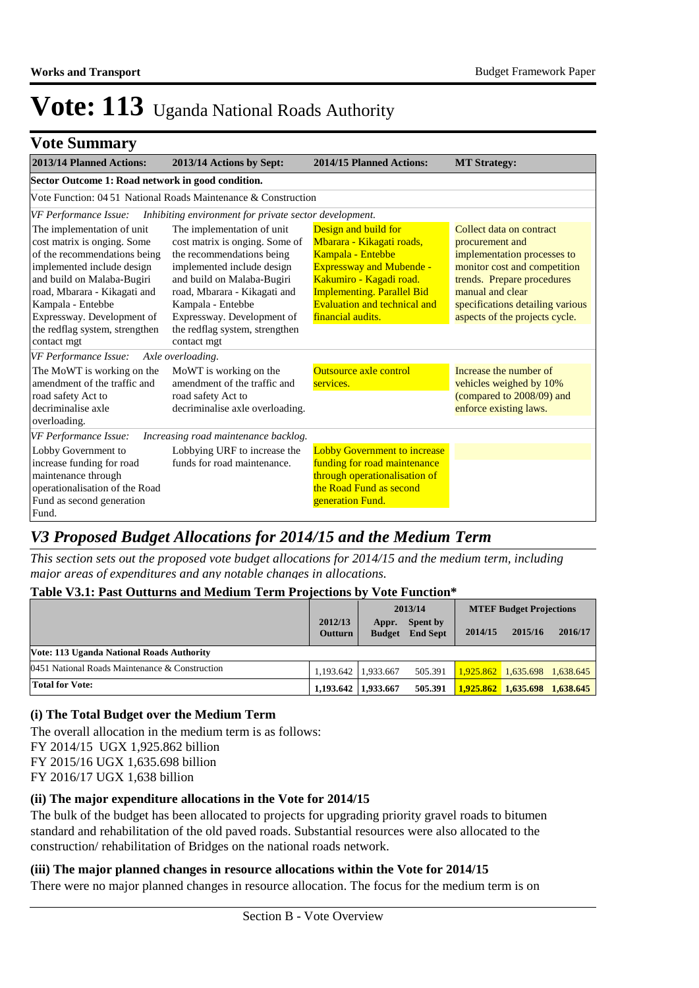### **Vote Summary**

| 2013/14 Planned Actions:                                                                                                                                                                                                                                                                  | 2013/14 Actions by Sept:                                                                                                                                                                                                                                                                  | 2014/15 Planned Actions:                                                                                                                                                                                                       | <b>MT Strategy:</b>                                                                                                                                                                                                                |  |  |  |
|-------------------------------------------------------------------------------------------------------------------------------------------------------------------------------------------------------------------------------------------------------------------------------------------|-------------------------------------------------------------------------------------------------------------------------------------------------------------------------------------------------------------------------------------------------------------------------------------------|--------------------------------------------------------------------------------------------------------------------------------------------------------------------------------------------------------------------------------|------------------------------------------------------------------------------------------------------------------------------------------------------------------------------------------------------------------------------------|--|--|--|
| Sector Outcome 1: Road network in good condition.                                                                                                                                                                                                                                         |                                                                                                                                                                                                                                                                                           |                                                                                                                                                                                                                                |                                                                                                                                                                                                                                    |  |  |  |
| Vote Function: $0451$ National Roads Maintenance & Construction                                                                                                                                                                                                                           |                                                                                                                                                                                                                                                                                           |                                                                                                                                                                                                                                |                                                                                                                                                                                                                                    |  |  |  |
| <b>VF Performance Issue:</b>                                                                                                                                                                                                                                                              | Inhibiting environment for private sector development.                                                                                                                                                                                                                                    |                                                                                                                                                                                                                                |                                                                                                                                                                                                                                    |  |  |  |
| The implementation of unit<br>cost matrix is onging. Some<br>of the recommendations being<br>implemented include design<br>and build on Malaba-Bugiri<br>road, Mbarara - Kikagati and<br>Kampala - Entebbe<br>Expressway. Development of<br>the redflag system, strengthen<br>contact mgt | The implementation of unit<br>cost matrix is onging. Some of<br>the recommendations being<br>implemented include design<br>and build on Malaba-Bugiri<br>road, Mbarara - Kikagati and<br>Kampala - Entebbe<br>Expressway. Development of<br>the redflag system, strengthen<br>contact mgt | Design and build for<br>Mbarara - Kikagati roads,<br>Kampala - Entebbe<br><b>Expressway and Mubende -</b><br>Kakumiro - Kagadi road.<br><b>Implementing. Parallel Bid</b><br>Evaluation and technical and<br>financial audits. | Collect data on contract<br>procurement and<br>implementation processes to<br>monitor cost and competition<br>trends. Prepare procedures<br>manual and clear<br>specifications detailing various<br>aspects of the projects cycle. |  |  |  |
| VF Performance Issue:                                                                                                                                                                                                                                                                     | Axle overloading.                                                                                                                                                                                                                                                                         |                                                                                                                                                                                                                                |                                                                                                                                                                                                                                    |  |  |  |
| The MoWT is working on the<br>amendment of the traffic and<br>road safety Act to<br>decriminalise axle<br>overloading.                                                                                                                                                                    | MoWT is working on the<br>amendment of the traffic and<br>road safety Act to<br>decriminalise axle overloading.                                                                                                                                                                           | <b>Outsource axle control</b><br>services.                                                                                                                                                                                     | Increase the number of<br>vehicles weighed by 10%<br>(compared to 2008/09) and<br>enforce existing laws.                                                                                                                           |  |  |  |
| VF Performance Issue:                                                                                                                                                                                                                                                                     | Increasing road maintenance backlog.                                                                                                                                                                                                                                                      |                                                                                                                                                                                                                                |                                                                                                                                                                                                                                    |  |  |  |
| Lobby Government to<br>increase funding for road<br>maintenance through<br>operationalisation of the Road<br>Fund as second generation<br>Fund.                                                                                                                                           | Lobbying URF to increase the<br>funds for road maintenance.                                                                                                                                                                                                                               | <b>Lobby Government to increase</b><br>funding for road maintenance<br>through operationalisation of<br>the Road Fund as second<br>generation Fund.                                                                            |                                                                                                                                                                                                                                    |  |  |  |

### *V3 Proposed Budget Allocations for 2014/15 and the Medium Term*

*This section sets out the proposed vote budget allocations for 2014/15 and the medium term, including major areas of expenditures and any notable changes in allocations.* 

#### **Table V3.1: Past Outturns and Medium Term Projections by Vote Function\***

|                                                  |                            | 2013/14 |                                           | <b>MTEF Budget Projections</b> |                                 |         |
|--------------------------------------------------|----------------------------|---------|-------------------------------------------|--------------------------------|---------------------------------|---------|
|                                                  | 2012/13<br><b>Outturn</b>  | Appr.   | <b>Spent by</b><br><b>Budget</b> End Sept | 2014/15                        | 2015/16                         | 2016/17 |
| Vote: 113 Uganda National Roads Authority        |                            |         |                                           |                                |                                 |         |
| 0451 National Roads Maintenance $&$ Construction | $1.193.642 \mid 1.933.667$ |         | 505.391                                   |                                | $1,925.862$ 1,635.698 1,638.645 |         |
| <b>Total for Vote:</b>                           | 1.193.642 1.933.667        |         | 505.391                                   |                                | 1,925,862 1,635,698 1,638,645   |         |

#### **(i) The Total Budget over the Medium Term**

The overall allocation in the medium term is as follows:

FY 2014/15 UGX 1,925.862 billion

FY 2015/16 UGX 1,635.698 billion

FY 2016/17 UGX 1,638 billion

### **(ii) The major expenditure allocations in the Vote for 2014/15**

The bulk of the budget has been allocated to projects for upgrading priority gravel roads to bitumen standard and rehabilitation of the old paved roads. Substantial resources were also allocated to the construction/ rehabilitation of Bridges on the national roads network.

### **(iii) The major planned changes in resource allocations within the Vote for 2014/15**

There were no major planned changes in resource allocation. The focus for the medium term is on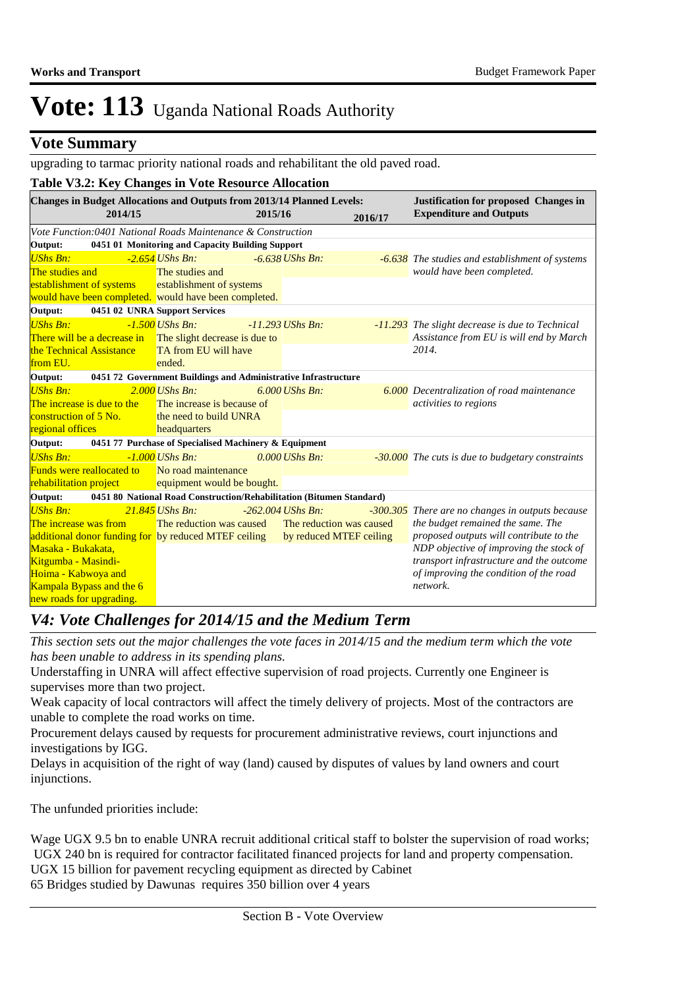### **Vote Summary**

upgrading to tarmac priority national roads and rehabilitant the old paved road.

|                                                      |                                  | Table V3.2: Key Changes in Vote Resource Allocation                               |                         |                          |                                         |                                                                                |
|------------------------------------------------------|----------------------------------|-----------------------------------------------------------------------------------|-------------------------|--------------------------|-----------------------------------------|--------------------------------------------------------------------------------|
|                                                      | 2014/15                          | <b>Changes in Budget Allocations and Outputs from 2013/14 Planned Levels:</b>     | 2015/16                 |                          | 2016/17                                 | <b>Justification for proposed Changes in</b><br><b>Expenditure and Outputs</b> |
|                                                      |                                  | Vote Function:0401 National Roads Maintenance & Construction                      |                         |                          |                                         |                                                                                |
| Output:                                              |                                  | 0451 01 Monitoring and Capacity Building Support                                  |                         |                          |                                         |                                                                                |
| <b>UShs Bn:</b>                                      |                                  | $-2.654$ UShs Bn:                                                                 |                         | $-6.638$ UShs Bn:        |                                         | -6.638 The studies and establishment of systems                                |
| The studies and                                      |                                  | The studies and                                                                   |                         |                          |                                         | would have been completed.                                                     |
|                                                      | establishment of systems         | establishment of systems<br>would have been completed. would have been completed. |                         |                          |                                         |                                                                                |
| Output:                                              |                                  | 0451 02 UNRA Support Services                                                     |                         |                          |                                         |                                                                                |
| <b>UShs Bn:</b>                                      |                                  | $-1.500$ UShs Bn:                                                                 |                         | $-11.293$ UShs Bn:       |                                         | -11.293 The slight decrease is due to Technical                                |
|                                                      | There will be a decrease in      | The slight decrease is due to                                                     |                         |                          |                                         | Assistance from EU is will end by March                                        |
| the Technical Assistance                             |                                  | TA from EU will have                                                              |                         |                          |                                         | 2014.                                                                          |
| from EU.                                             |                                  | ended.                                                                            |                         |                          |                                         |                                                                                |
| Output:                                              |                                  | 0451 72 Government Buildings and Administrative Infrastructure                    |                         |                          |                                         |                                                                                |
| <b>UShs Bn:</b>                                      |                                  | $2.000$ UShs Bn:                                                                  |                         | $6.000$ UShs Bn:         |                                         | <b>6.000</b> Decentralization of road maintenance                              |
| The increase is due to the                           |                                  | The increase is because of                                                        |                         |                          |                                         | activities to regions                                                          |
| construction of 5 No.                                |                                  | the need to build UNRA                                                            |                         |                          |                                         |                                                                                |
| regional offices                                     |                                  | headquarters                                                                      |                         |                          |                                         |                                                                                |
| Output:                                              |                                  | 0451 77 Purchase of Specialised Machinery & Equipment                             |                         |                          |                                         |                                                                                |
| <b>UShs Bn:</b>                                      |                                  | $-1.000$ UShs Bn:                                                                 |                         | $0.000$ UShs Bn:         |                                         | -30.000 The cuts is due to budgetary constraints                               |
|                                                      | <b>Funds were reallocated to</b> | No road maintenance                                                               |                         |                          |                                         |                                                                                |
| rehabilitation project                               |                                  | equipment would be bought.                                                        |                         |                          |                                         |                                                                                |
| Output:                                              |                                  | 0451 80 National Road Construction/Rehabilitation (Bitumen Standard)              |                         |                          |                                         |                                                                                |
| <b>UShs Bn:</b>                                      |                                  | $21.845$ UShs Bn:                                                                 |                         | $-262.004$ UShs Bn:      |                                         | -300.305 There are no changes in outputs because                               |
| The increase was from                                |                                  | The reduction was caused                                                          |                         | The reduction was caused |                                         | the budget remained the same. The                                              |
| additional donor funding for by reduced MTEF ceiling |                                  |                                                                                   | by reduced MTEF ceiling |                          | proposed outputs will contribute to the |                                                                                |
| Masaka - Bukakata.                                   |                                  |                                                                                   |                         |                          | NDP objective of improving the stock of |                                                                                |
| Kitgumba - Masindi-                                  |                                  |                                                                                   |                         |                          |                                         | transport infrastructure and the outcome                                       |
| Hoima - Kabwoya and                                  |                                  |                                                                                   |                         |                          |                                         | of improving the condition of the road                                         |
|                                                      | Kampala Bypass and the 6         |                                                                                   |                         |                          |                                         | network.                                                                       |
| new roads for upgrading.                             |                                  |                                                                                   |                         |                          |                                         |                                                                                |

### *V4: Vote Challenges for 2014/15 and the Medium Term*

*This section sets out the major challenges the vote faces in 2014/15 and the medium term which the vote has been unable to address in its spending plans.*

Understaffing in UNRA will affect effective supervision of road projects. Currently one Engineer is supervises more than two project.

Weak capacity of local contractors will affect the timely delivery of projects. Most of the contractors are unable to complete the road works on time.

Procurement delays caused by requests for procurement administrative reviews, court injunctions and investigations by IGG.

Delays in acquisition of the right of way (land) caused by disputes of values by land owners and court injunctions.

The unfunded priorities include:

Wage UGX 9.5 bn to enable UNRA recruit additional critical staff to bolster the supervision of road works; UGX 240 bn is required for contractor facilitated financed projects for land and property compensation. UGX 15 billion for pavement recycling equipment as directed by Cabinet 65 Bridges studied by Dawunas requires 350 billion over 4 years